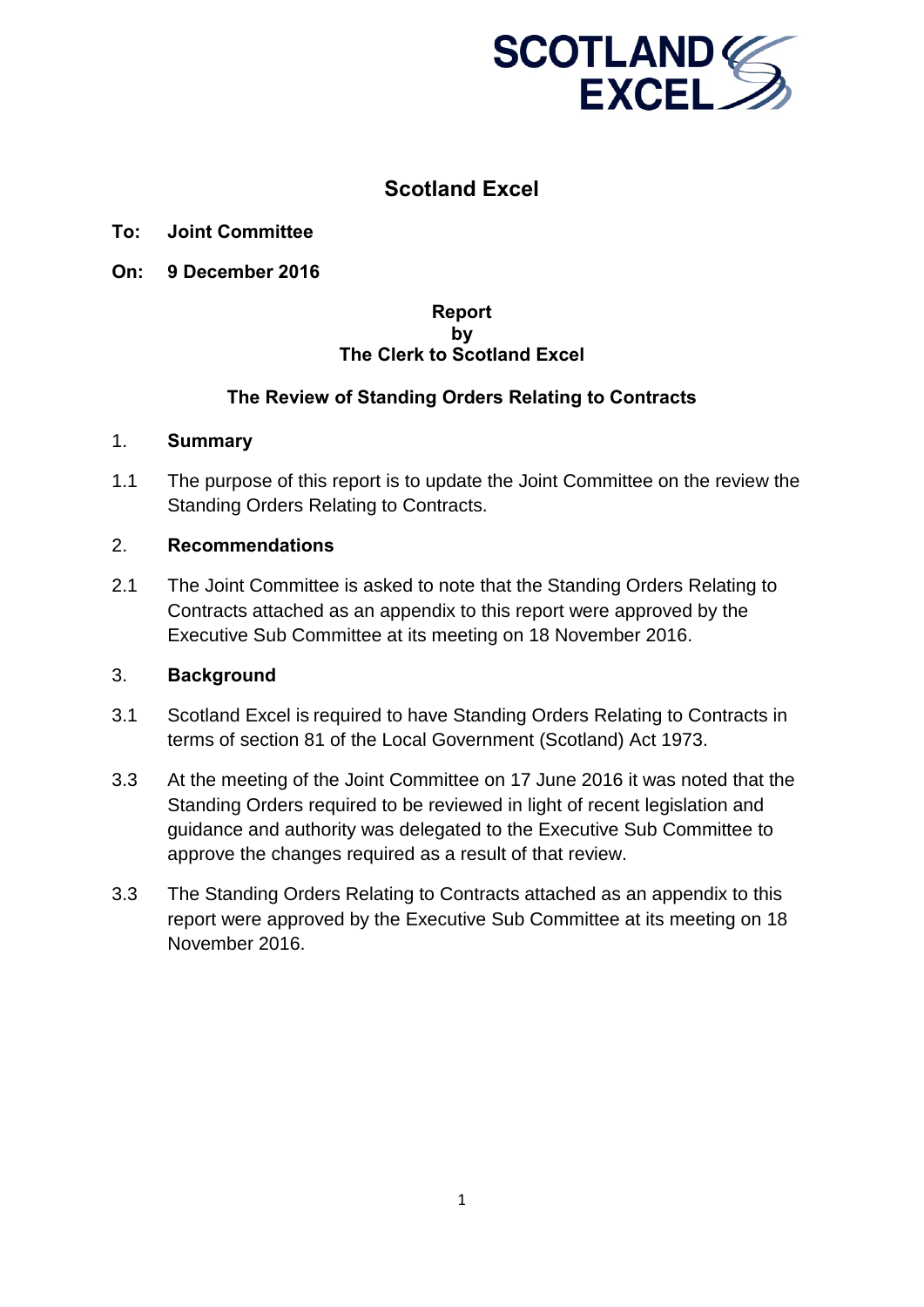

# **Scotland Excel**

- **To: Joint Committee**
- **On: 9 December 2016**

#### **Report by The Clerk to Scotland Excel**

#### **The Review of Standing Orders Relating to Contracts**

#### 1. **Summary**

1.1 The purpose of this report is to update the Joint Committee on the review the Standing Orders Relating to Contracts.

#### 2. **Recommendations**

2.1 The Joint Committee is asked to note that the Standing Orders Relating to Contracts attached as an appendix to this report were approved by the Executive Sub Committee at its meeting on 18 November 2016.

#### 3. **Background**

- 3.1 Scotland Excel is required to have Standing Orders Relating to Contracts in terms of section 81 of the Local Government (Scotland) Act 1973.
- 3.3 At the meeting of the Joint Committee on 17 June 2016 it was noted that the Standing Orders required to be reviewed in light of recent legislation and guidance and authority was delegated to the Executive Sub Committee to approve the changes required as a result of that review.
- 3.3 The Standing Orders Relating to Contracts attached as an appendix to this report were approved by the Executive Sub Committee at its meeting on 18 November 2016.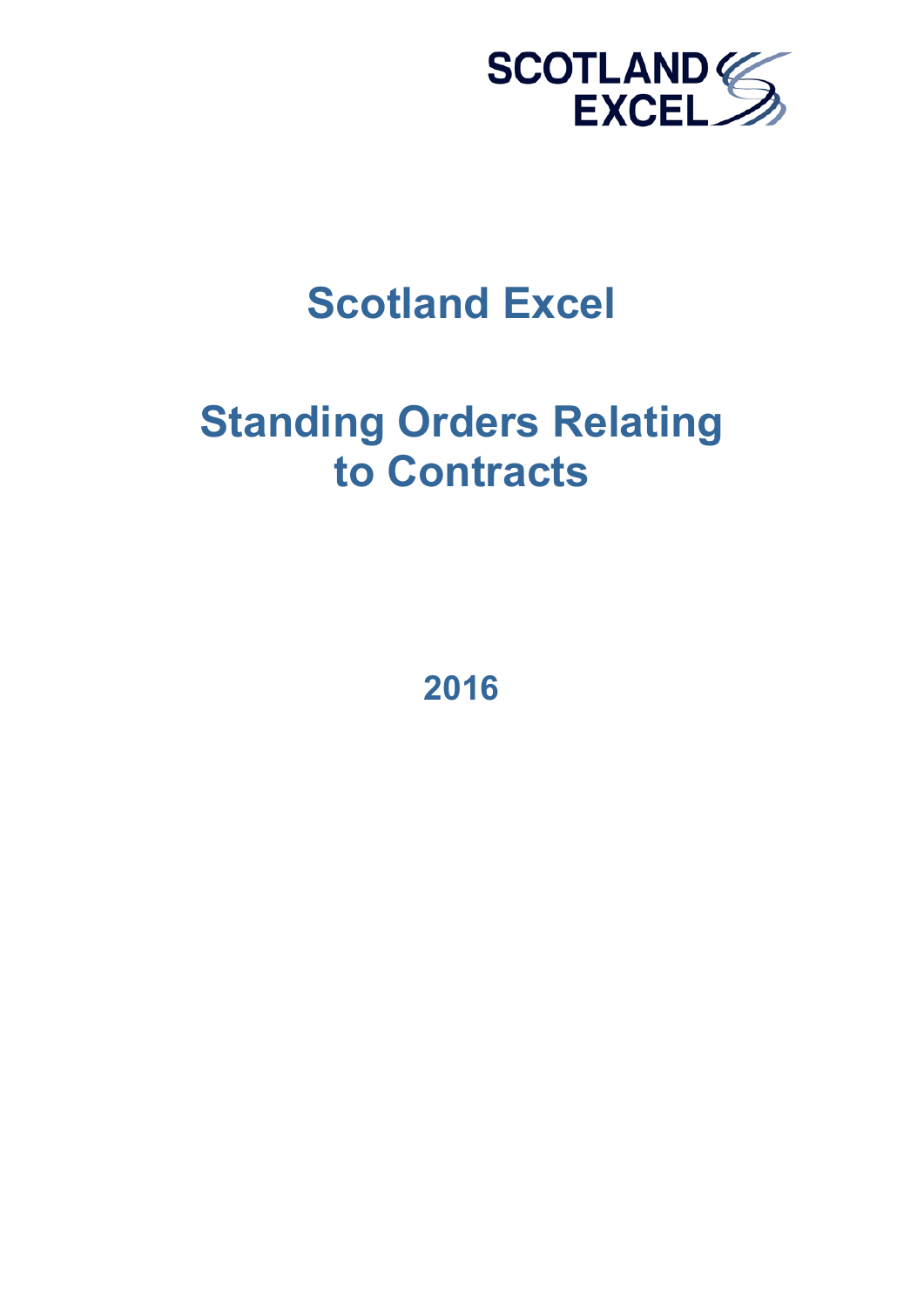

# **Scotland Excel**

# **Standing Orders Relating to Contracts**

**2016**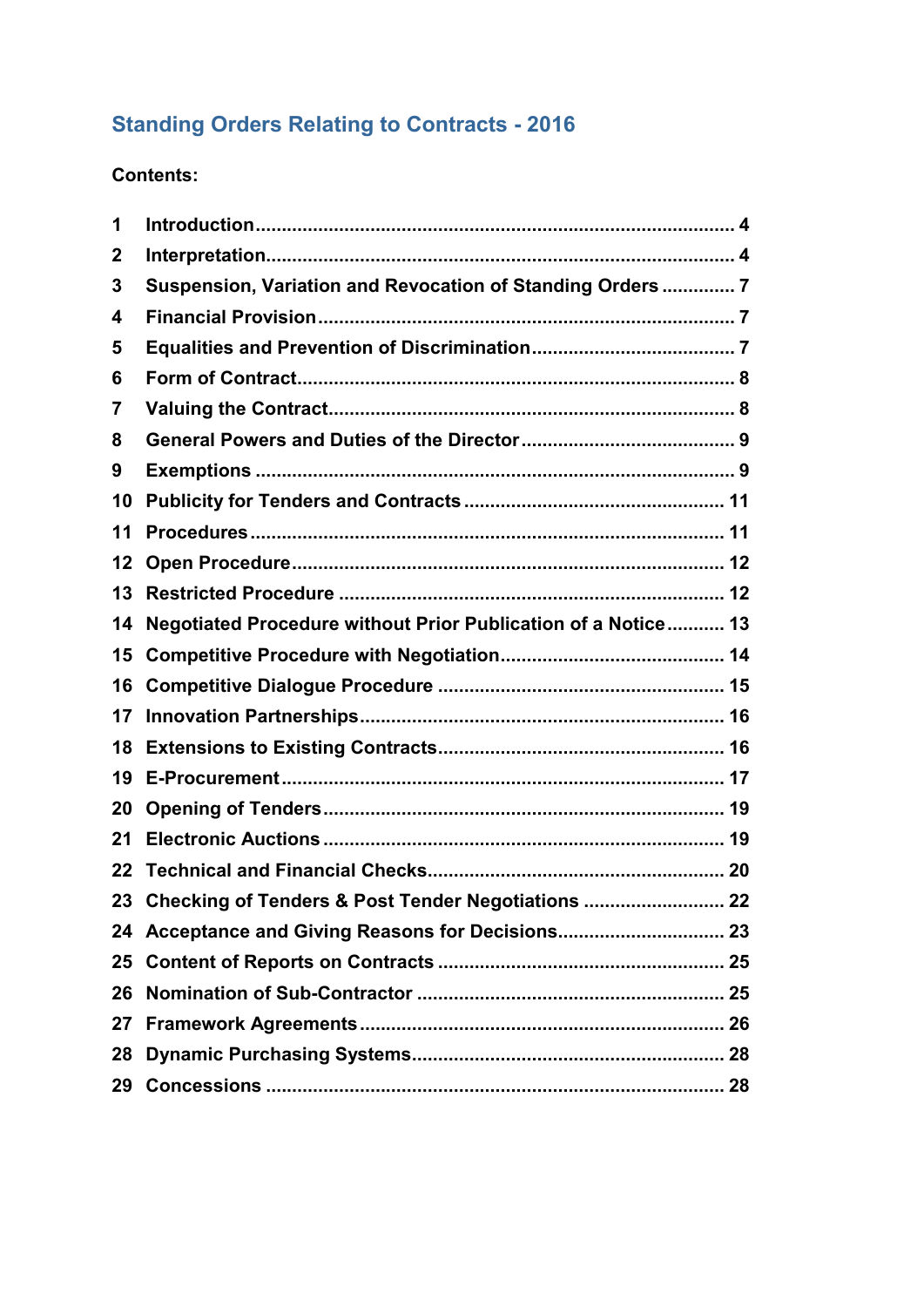# **Standing Orders Relating to Contracts - 2016**

# **Contents:**

| 1  |                                                               |
|----|---------------------------------------------------------------|
| 2  |                                                               |
| 3  | Suspension, Variation and Revocation of Standing Orders  7    |
| 4  |                                                               |
| 5  |                                                               |
| 6  |                                                               |
| 7  |                                                               |
| 8  |                                                               |
| 9  |                                                               |
| 10 |                                                               |
| 11 |                                                               |
| 12 |                                                               |
| 13 |                                                               |
| 14 | Negotiated Procedure without Prior Publication of a Notice 13 |
| 15 |                                                               |
| 16 |                                                               |
| 17 |                                                               |
| 18 |                                                               |
| 19 |                                                               |
| 20 |                                                               |
| 21 |                                                               |
| 22 |                                                               |
|    | 23 Checking of Tenders & Post Tender Negotiations  22         |
|    |                                                               |
| 25 |                                                               |
| 26 |                                                               |
| 27 |                                                               |
| 28 |                                                               |
|    |                                                               |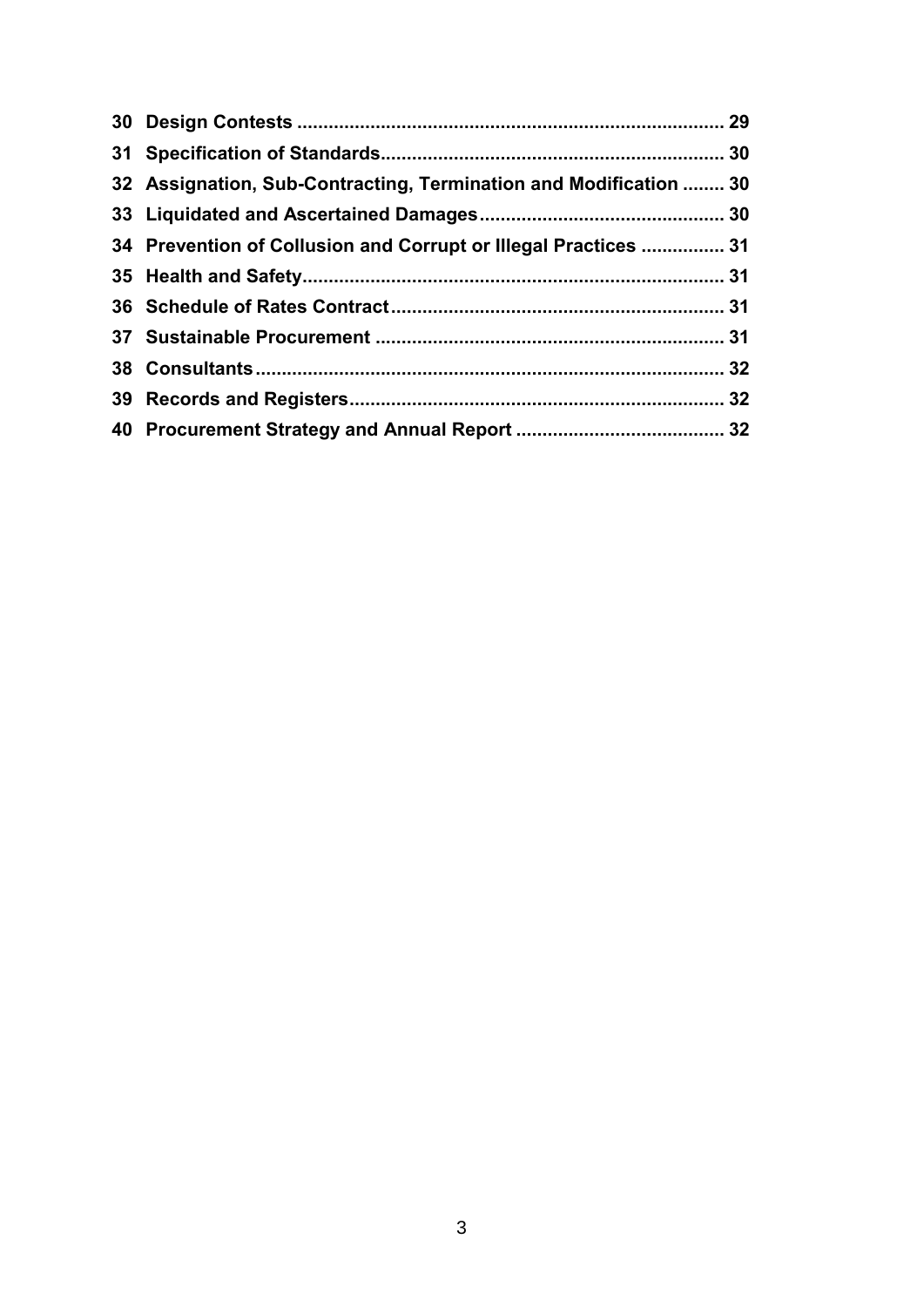| 32 Assignation, Sub-Contracting, Termination and Modification  30 |  |
|-------------------------------------------------------------------|--|
|                                                                   |  |
| 34 Prevention of Collusion and Corrupt or Illegal Practices  31   |  |
|                                                                   |  |
|                                                                   |  |
|                                                                   |  |
|                                                                   |  |
|                                                                   |  |
|                                                                   |  |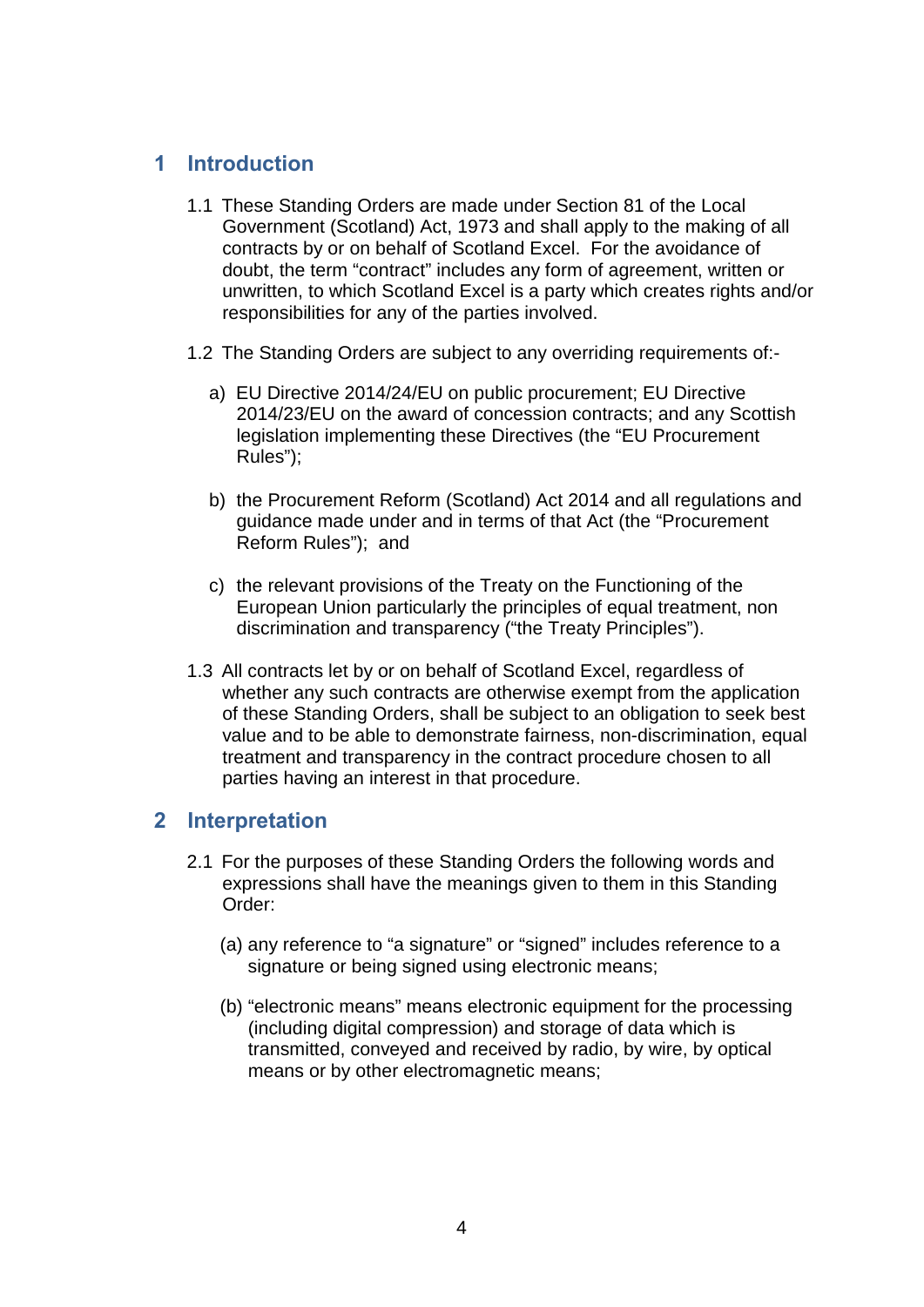# <span id="page-6-0"></span>**1 Introduction**

- 1.1 These Standing Orders are made under Section 81 of the Local Government (Scotland) Act, 1973 and shall apply to the making of all contracts by or on behalf of Scotland Excel. For the avoidance of doubt, the term "contract" includes any form of agreement, written or unwritten, to which Scotland Excel is a party which creates rights and/or responsibilities for any of the parties involved.
- 1.2 The Standing Orders are subject to any overriding requirements of:
	- a) EU Directive 2014/24/EU on public procurement; EU Directive 2014/23/EU on the award of concession contracts; and any Scottish legislation implementing these Directives (the "EU Procurement Rules");
	- b) the Procurement Reform (Scotland) Act 2014 and all regulations and guidance made under and in terms of that Act (the "Procurement Reform Rules"); and
	- c) the relevant provisions of the Treaty on the Functioning of the European Union particularly the principles of equal treatment, non discrimination and transparency ("the Treaty Principles").
- 1.3 All contracts let by or on behalf of Scotland Excel, regardless of whether any such contracts are otherwise exempt from the application of these Standing Orders, shall be subject to an obligation to seek best value and to be able to demonstrate fairness, non-discrimination, equal treatment and transparency in the contract procedure chosen to all parties having an interest in that procedure.

#### <span id="page-6-1"></span>**2 Interpretation**

- 2.1 For the purposes of these Standing Orders the following words and expressions shall have the meanings given to them in this Standing Order:
	- (a) any reference to "a signature" or "signed" includes reference to a signature or being signed using electronic means;
	- (b) "electronic means" means electronic equipment for the processing (including digital compression) and storage of data which is transmitted, conveyed and received by radio, by wire, by optical means or by other electromagnetic means;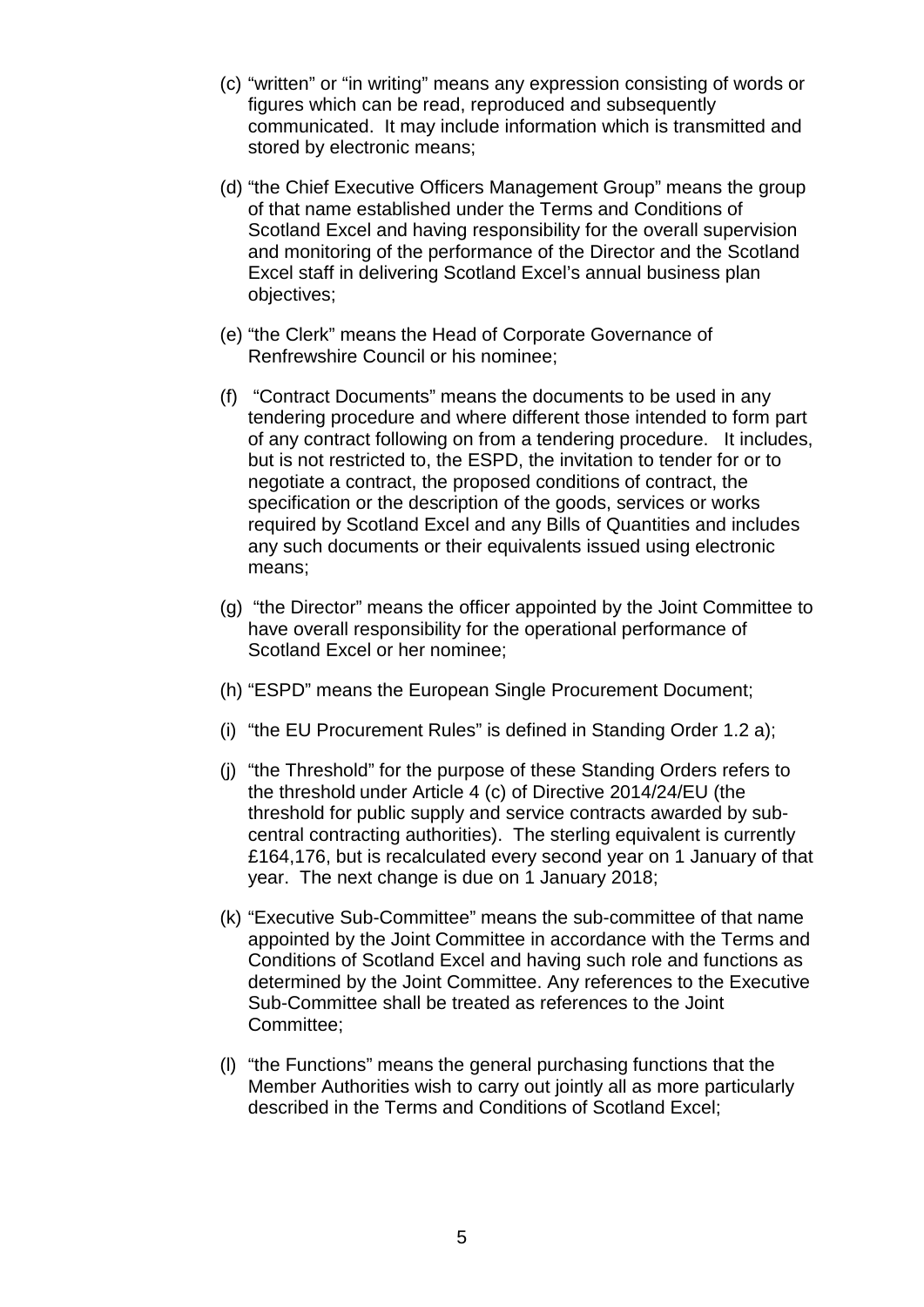- (c) "written" or "in writing" means any expression consisting of words or figures which can be read, reproduced and subsequently communicated. It may include information which is transmitted and stored by electronic means;
- (d) "the Chief Executive Officers Management Group" means the group of that name established under the Terms and Conditions of Scotland Excel and having responsibility for the overall supervision and monitoring of the performance of the Director and the Scotland Excel staff in delivering Scotland Excel's annual business plan objectives;
- (e) "the Clerk" means the Head of Corporate Governance of Renfrewshire Council or his nominee;
- (f) "Contract Documents" means the documents to be used in any tendering procedure and where different those intended to form part of any contract following on from a tendering procedure. It includes, but is not restricted to, the ESPD, the invitation to tender for or to negotiate a contract, the proposed conditions of contract, the specification or the description of the goods, services or works required by Scotland Excel and any Bills of Quantities and includes any such documents or their equivalents issued using electronic means;
- (g) "the Director" means the officer appointed by the Joint Committee to have overall responsibility for the operational performance of Scotland Excel or her nominee;
- (h) "ESPD" means the European Single Procurement Document;
- (i) "the EU Procurement Rules" is defined in Standing Order 1.2 a);
- (j) "the Threshold" for the purpose of these Standing Orders refers to the threshold under Article 4 (c) of Directive 2014/24/EU (the threshold for public supply and service contracts awarded by subcentral contracting authorities). The sterling equivalent is currently £164,176, but is recalculated every second year on 1 January of that year. The next change is due on 1 January 2018;
- (k) "Executive Sub-Committee" means the sub-committee of that name appointed by the Joint Committee in accordance with the Terms and Conditions of Scotland Excel and having such role and functions as determined by the Joint Committee. Any references to the Executive Sub-Committee shall be treated as references to the Joint Committee;
- (l) "the Functions" means the general purchasing functions that the Member Authorities wish to carry out jointly all as more particularly described in the Terms and Conditions of Scotland Excel;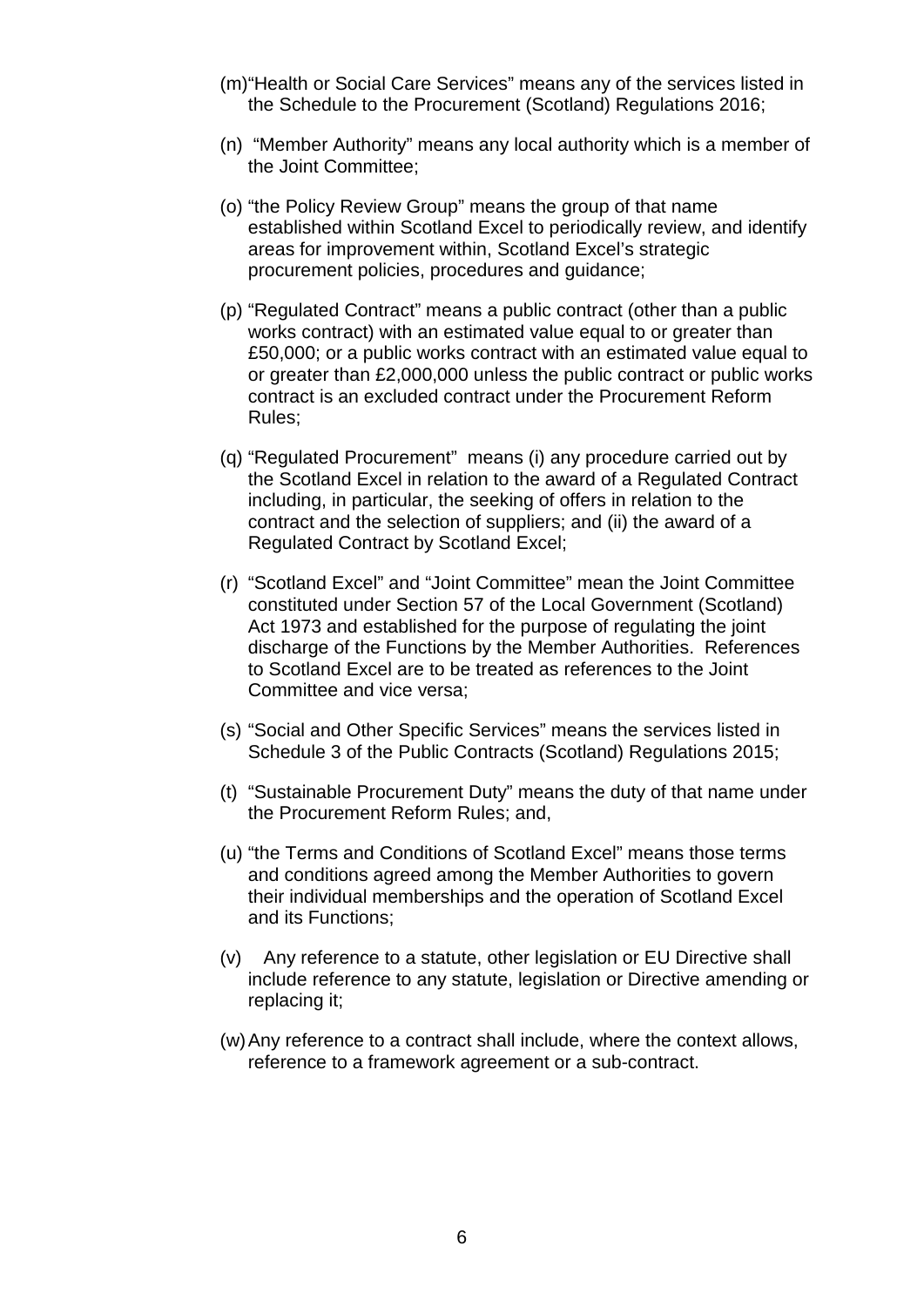- (m)"Health or Social Care Services" means any of the services listed in the Schedule to the Procurement (Scotland) Regulations 2016;
- (n) "Member Authority" means any local authority which is a member of the Joint Committee;
- (o) "the Policy Review Group" means the group of that name established within Scotland Excel to periodically review, and identify areas for improvement within, Scotland Excel's strategic procurement policies, procedures and guidance;
- (p) "Regulated Contract" means a public contract (other than a public works contract) with an estimated value equal to or greater than £50,000; or a public works contract with an estimated value equal to or greater than £2,000,000 unless the public contract or public works contract is an excluded contract under the Procurement Reform Rules;
- (q) "Regulated Procurement" means (i) any procedure carried out by the Scotland Excel in relation to the award of a Regulated Contract including, in particular, the seeking of offers in relation to the contract and the selection of suppliers; and (ii) the award of a Regulated Contract by Scotland Excel;
- (r) "Scotland Excel" and "Joint Committee" mean the Joint Committee constituted under Section 57 of the Local Government (Scotland) Act 1973 and established for the purpose of regulating the joint discharge of the Functions by the Member Authorities. References to Scotland Excel are to be treated as references to the Joint Committee and vice versa;
- (s) "Social and Other Specific Services" means the services listed in Schedule 3 of the Public Contracts (Scotland) Regulations 2015;
- (t) "Sustainable Procurement Duty" means the duty of that name under the Procurement Reform Rules; and,
- (u) "the Terms and Conditions of Scotland Excel" means those terms and conditions agreed among the Member Authorities to govern their individual memberships and the operation of Scotland Excel and its Functions;
- (v) Any reference to a statute, other legislation or EU Directive shall include reference to any statute, legislation or Directive amending or replacing it;
- (w)Any reference to a contract shall include, where the context allows, reference to a framework agreement or a sub-contract.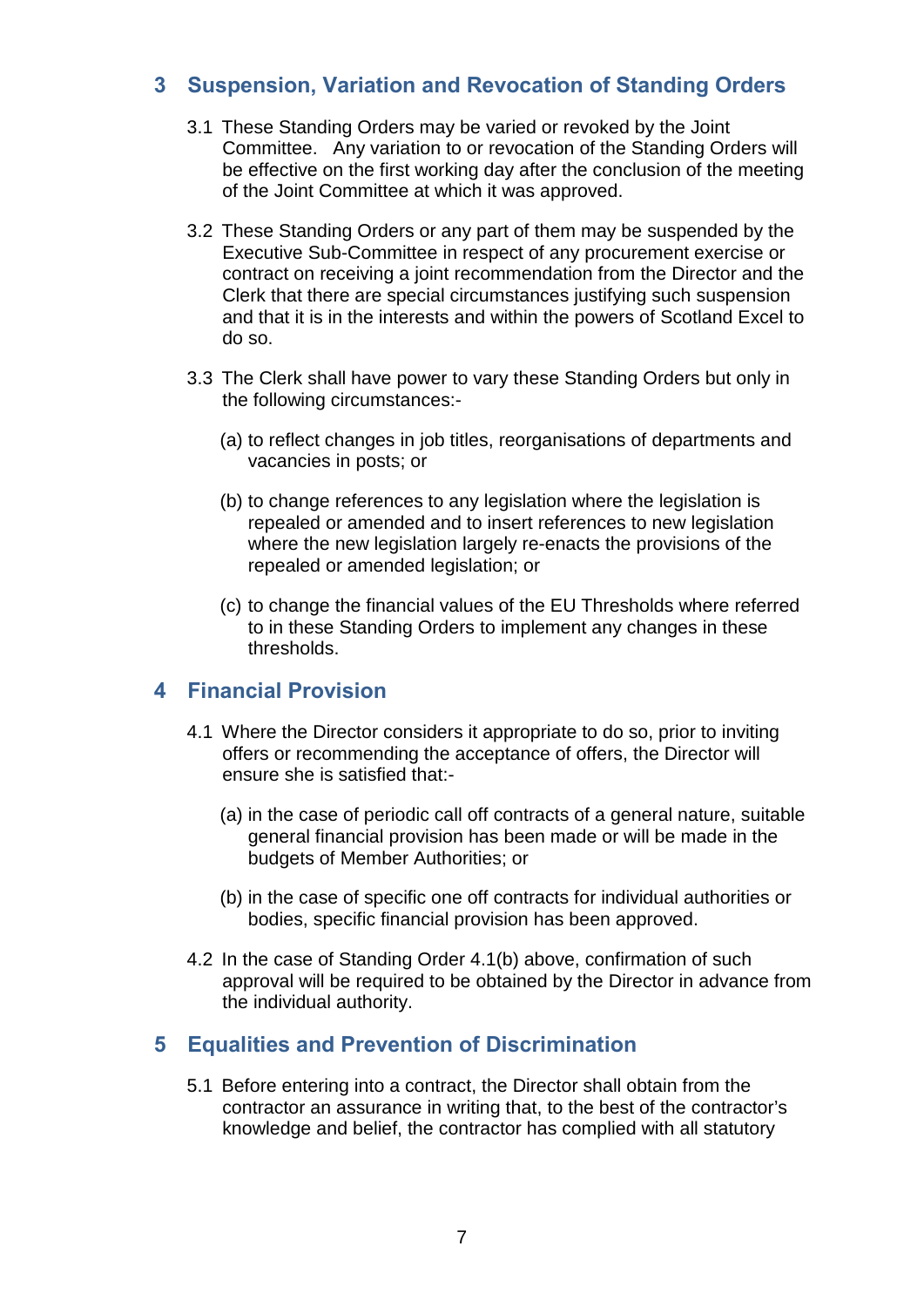# <span id="page-9-0"></span>**3 Suspension, Variation and Revocation of Standing Orders**

- 3.1 These Standing Orders may be varied or revoked by the Joint Committee. Any variation to or revocation of the Standing Orders will be effective on the first working day after the conclusion of the meeting of the Joint Committee at which it was approved.
- 3.2 These Standing Orders or any part of them may be suspended by the Executive Sub-Committee in respect of any procurement exercise or contract on receiving a joint recommendation from the Director and the Clerk that there are special circumstances justifying such suspension and that it is in the interests and within the powers of Scotland Excel to do so.
- 3.3 The Clerk shall have power to vary these Standing Orders but only in the following circumstances:-
	- (a) to reflect changes in job titles, reorganisations of departments and vacancies in posts; or
	- (b) to change references to any legislation where the legislation is repealed or amended and to insert references to new legislation where the new legislation largely re-enacts the provisions of the repealed or amended legislation; or
	- (c) to change the financial values of the EU Thresholds where referred to in these Standing Orders to implement any changes in these thresholds.

# <span id="page-9-1"></span>**4 Financial Provision**

- 4.1 Where the Director considers it appropriate to do so, prior to inviting offers or recommending the acceptance of offers, the Director will ensure she is satisfied that:-
	- (a) in the case of periodic call off contracts of a general nature, suitable general financial provision has been made or will be made in the budgets of Member Authorities; or
	- (b) in the case of specific one off contracts for individual authorities or bodies, specific financial provision has been approved.
- 4.2 In the case of Standing Order 4.1(b) above, confirmation of such approval will be required to be obtained by the Director in advance from the individual authority.

# <span id="page-9-2"></span>**5 Equalities and Prevention of Discrimination**

5.1 Before entering into a contract, the Director shall obtain from the contractor an assurance in writing that, to the best of the contractor's knowledge and belief, the contractor has complied with all statutory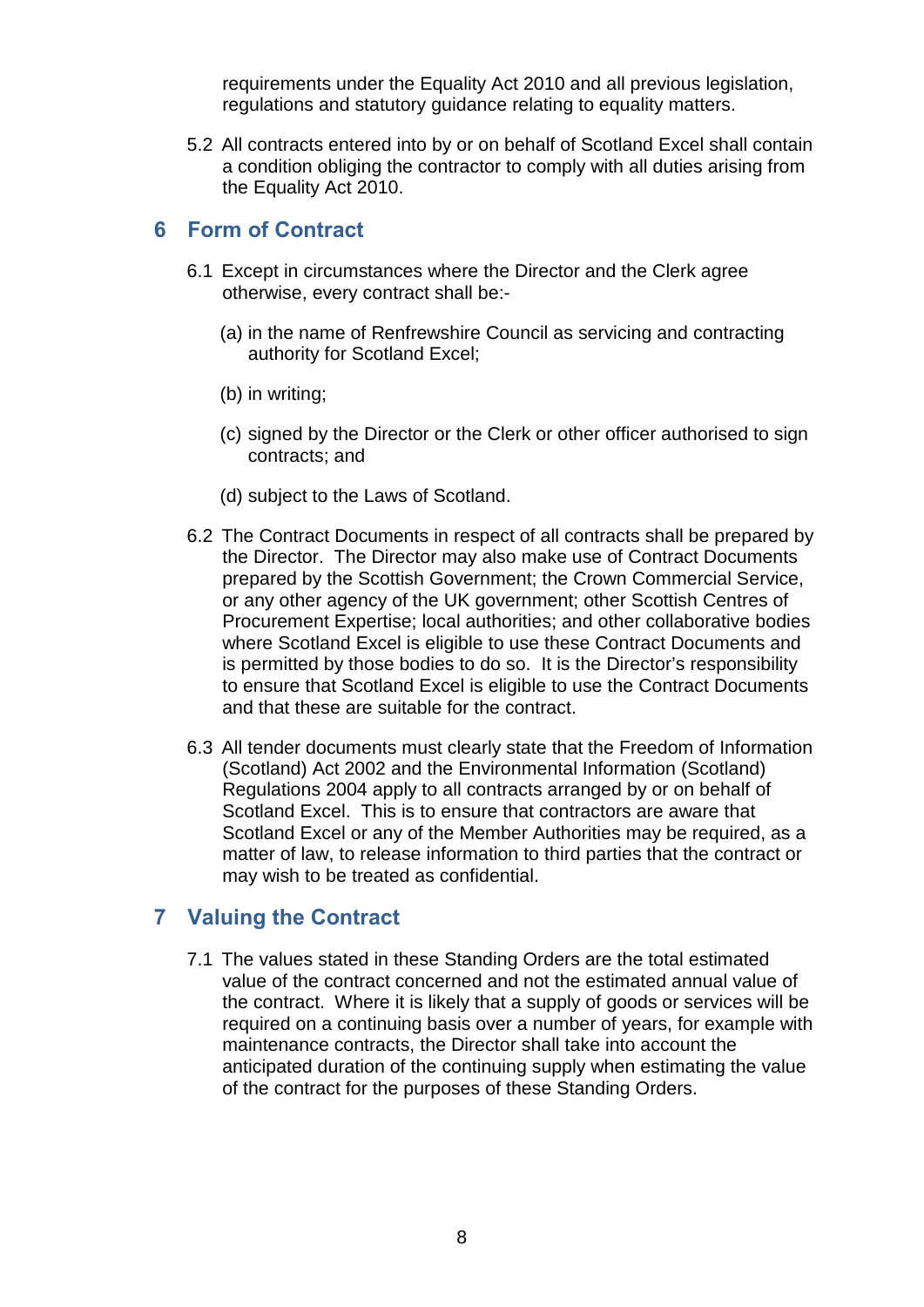requirements under the Equality Act 2010 and all previous legislation, regulations and statutory guidance relating to equality matters.

5.2 All contracts entered into by or on behalf of Scotland Excel shall contain a condition obliging the contractor to comply with all duties arising from the Equality Act 2010.

## <span id="page-10-0"></span>**6 Form of Contract**

- 6.1 Except in circumstances where the Director and the Clerk agree otherwise, every contract shall be:-
	- (a) in the name of Renfrewshire Council as servicing and contracting authority for Scotland Excel;
	- (b) in writing;
	- (c) signed by the Director or the Clerk or other officer authorised to sign contracts; and
	- (d) subject to the Laws of Scotland.
- 6.2 The Contract Documents in respect of all contracts shall be prepared by the Director. The Director may also make use of Contract Documents prepared by the Scottish Government; the Crown Commercial Service, or any other agency of the UK government; other Scottish Centres of Procurement Expertise; local authorities; and other collaborative bodies where Scotland Excel is eligible to use these Contract Documents and is permitted by those bodies to do so. It is the Director's responsibility to ensure that Scotland Excel is eligible to use the Contract Documents and that these are suitable for the contract.
- 6.3 All tender documents must clearly state that the Freedom of Information (Scotland) Act 2002 and the Environmental Information (Scotland) Regulations 2004 apply to all contracts arranged by or on behalf of Scotland Excel. This is to ensure that contractors are aware that Scotland Excel or any of the Member Authorities may be required, as a matter of law, to release information to third parties that the contract or may wish to be treated as confidential.

# <span id="page-10-1"></span>**7 Valuing the Contract**

7.1 The values stated in these Standing Orders are the total estimated value of the contract concerned and not the estimated annual value of the contract. Where it is likely that a supply of goods or services will be required on a continuing basis over a number of years, for example with maintenance contracts, the Director shall take into account the anticipated duration of the continuing supply when estimating the value of the contract for the purposes of these Standing Orders.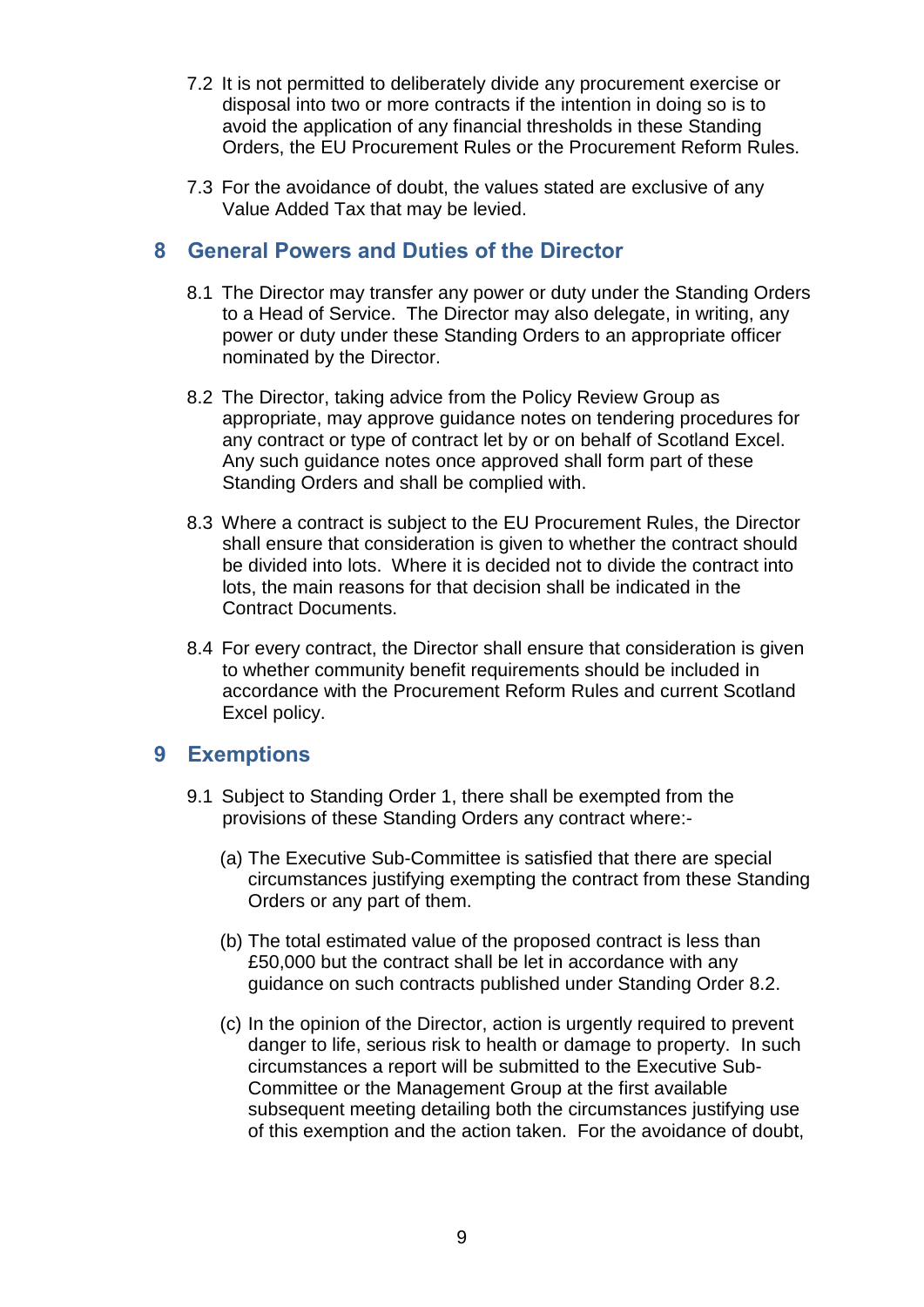- 7.2 It is not permitted to deliberately divide any procurement exercise or disposal into two or more contracts if the intention in doing so is to avoid the application of any financial thresholds in these Standing Orders, the EU Procurement Rules or the Procurement Reform Rules.
- 7.3 For the avoidance of doubt, the values stated are exclusive of any Value Added Tax that may be levied.

# <span id="page-11-0"></span>**8 General Powers and Duties of the Director**

- 8.1 The Director may transfer any power or duty under the Standing Orders to a Head of Service. The Director may also delegate, in writing, any power or duty under these Standing Orders to an appropriate officer nominated by the Director.
- 8.2 The Director, taking advice from the Policy Review Group as appropriate, may approve guidance notes on tendering procedures for any contract or type of contract let by or on behalf of Scotland Excel. Any such guidance notes once approved shall form part of these Standing Orders and shall be complied with.
- 8.3 Where a contract is subject to the EU Procurement Rules, the Director shall ensure that consideration is given to whether the contract should be divided into lots. Where it is decided not to divide the contract into lots, the main reasons for that decision shall be indicated in the Contract Documents.
- 8.4 For every contract, the Director shall ensure that consideration is given to whether community benefit requirements should be included in accordance with the Procurement Reform Rules and current Scotland Excel policy.

# <span id="page-11-1"></span>**9 Exemptions**

- 9.1 Subject to Standing Order 1, there shall be exempted from the provisions of these Standing Orders any contract where:-
	- (a) The Executive Sub-Committee is satisfied that there are special circumstances justifying exempting the contract from these Standing Orders or any part of them.
	- (b) The total estimated value of the proposed contract is less than £50,000 but the contract shall be let in accordance with any guidance on such contracts published under Standing Order 8.2.
	- (c) In the opinion of the Director, action is urgently required to prevent danger to life, serious risk to health or damage to property. In such circumstances a report will be submitted to the Executive Sub-Committee or the Management Group at the first available subsequent meeting detailing both the circumstances justifying use of this exemption and the action taken. For the avoidance of doubt,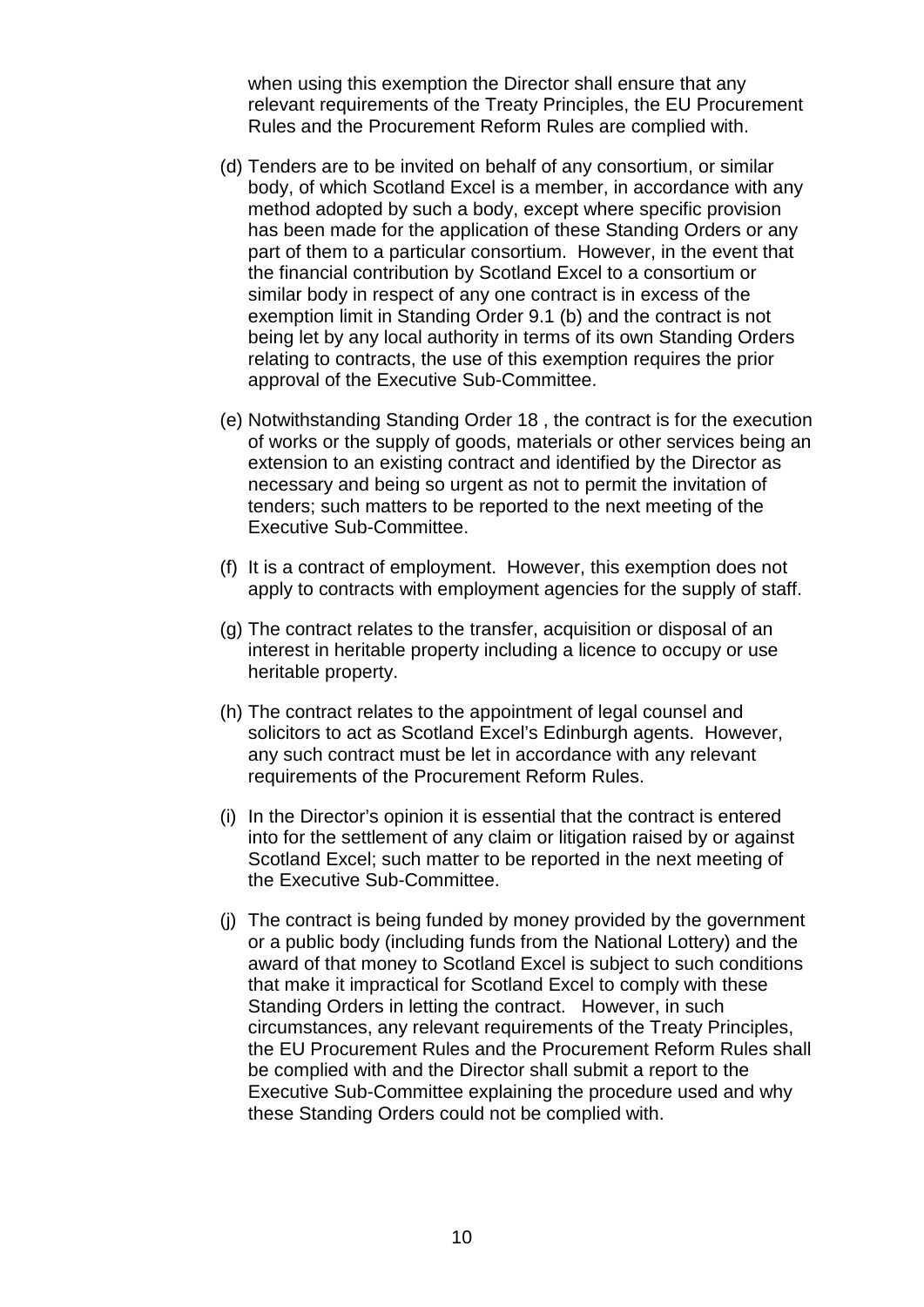when using this exemption the Director shall ensure that any relevant requirements of the Treaty Principles, the EU Procurement Rules and the Procurement Reform Rules are complied with.

- (d) Tenders are to be invited on behalf of any consortium, or similar body, of which Scotland Excel is a member, in accordance with any method adopted by such a body, except where specific provision has been made for the application of these Standing Orders or any part of them to a particular consortium. However, in the event that the financial contribution by Scotland Excel to a consortium or similar body in respect of any one contract is in excess of the exemption limit in Standing Order 9.1 (b) and the contract is not being let by any local authority in terms of its own Standing Orders relating to contracts, the use of this exemption requires the prior approval of the Executive Sub-Committee.
- (e) Notwithstanding Standing Order 18 , the contract is for the execution of works or the supply of goods, materials or other services being an extension to an existing contract and identified by the Director as necessary and being so urgent as not to permit the invitation of tenders; such matters to be reported to the next meeting of the Executive Sub-Committee.
- (f) It is a contract of employment. However, this exemption does not apply to contracts with employment agencies for the supply of staff.
- (g) The contract relates to the transfer, acquisition or disposal of an interest in heritable property including a licence to occupy or use heritable property.
- (h) The contract relates to the appointment of legal counsel and solicitors to act as Scotland Excel's Edinburgh agents. However, any such contract must be let in accordance with any relevant requirements of the Procurement Reform Rules.
- (i) In the Director's opinion it is essential that the contract is entered into for the settlement of any claim or litigation raised by or against Scotland Excel; such matter to be reported in the next meeting of the Executive Sub-Committee.
- (j) The contract is being funded by money provided by the government or a public body (including funds from the National Lottery) and the award of that money to Scotland Excel is subject to such conditions that make it impractical for Scotland Excel to comply with these Standing Orders in letting the contract. However, in such circumstances, any relevant requirements of the Treaty Principles, the EU Procurement Rules and the Procurement Reform Rules shall be complied with and the Director shall submit a report to the Executive Sub-Committee explaining the procedure used and why these Standing Orders could not be complied with.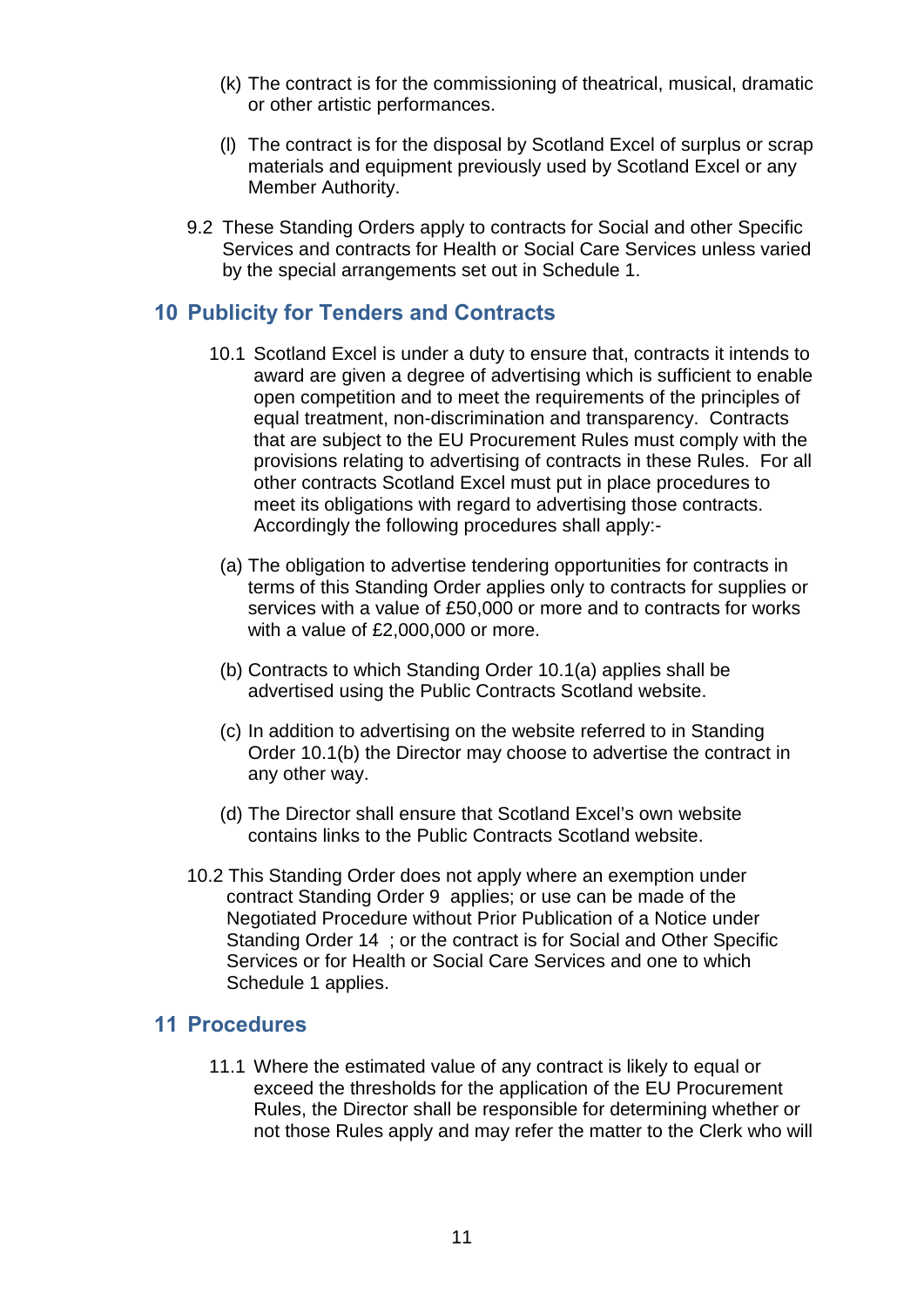- (k) The contract is for the commissioning of theatrical, musical, dramatic or other artistic performances.
- (l) The contract is for the disposal by Scotland Excel of surplus or scrap materials and equipment previously used by Scotland Excel or any Member Authority.
- 9.2 These Standing Orders apply to contracts for Social and other Specific Services and contracts for Health or Social Care Services unless varied by the special arrangements set out in Schedule 1.

# <span id="page-13-0"></span>**10 Publicity for Tenders and Contracts**

- 10.1 Scotland Excel is under a duty to ensure that, contracts it intends to award are given a degree of advertising which is sufficient to enable open competition and to meet the requirements of the principles of equal treatment, non-discrimination and transparency. Contracts that are subject to the EU Procurement Rules must comply with the provisions relating to advertising of contracts in these Rules. For all other contracts Scotland Excel must put in place procedures to meet its obligations with regard to advertising those contracts. Accordingly the following procedures shall apply:-
	- (a) The obligation to advertise tendering opportunities for contracts in terms of this Standing Order applies only to contracts for supplies or services with a value of £50,000 or more and to contracts for works with a value of £2,000,000 or more.
	- (b) Contracts to which Standing Order 10.1(a) applies shall be advertised using the Public Contracts Scotland website.
	- (c) In addition to advertising on the website referred to in Standing Order 10.1(b) the Director may choose to advertise the contract in any other way.
	- (d) The Director shall ensure that Scotland Excel's own website contains links to the Public Contracts Scotland website.
- 10.2 This Standing Order does not apply where an exemption under contract Standing Order 9 applies; or use can be made of the Negotiated Procedure without Prior Publication of a Notice under Standing Order 14 ; or the contract is for Social and Other Specific Services or for Health or Social Care Services and one to which Schedule 1 applies.

#### <span id="page-13-1"></span>**11 Procedures**

11.1 Where the estimated value of any contract is likely to equal or exceed the thresholds for the application of the EU Procurement Rules, the Director shall be responsible for determining whether or not those Rules apply and may refer the matter to the Clerk who will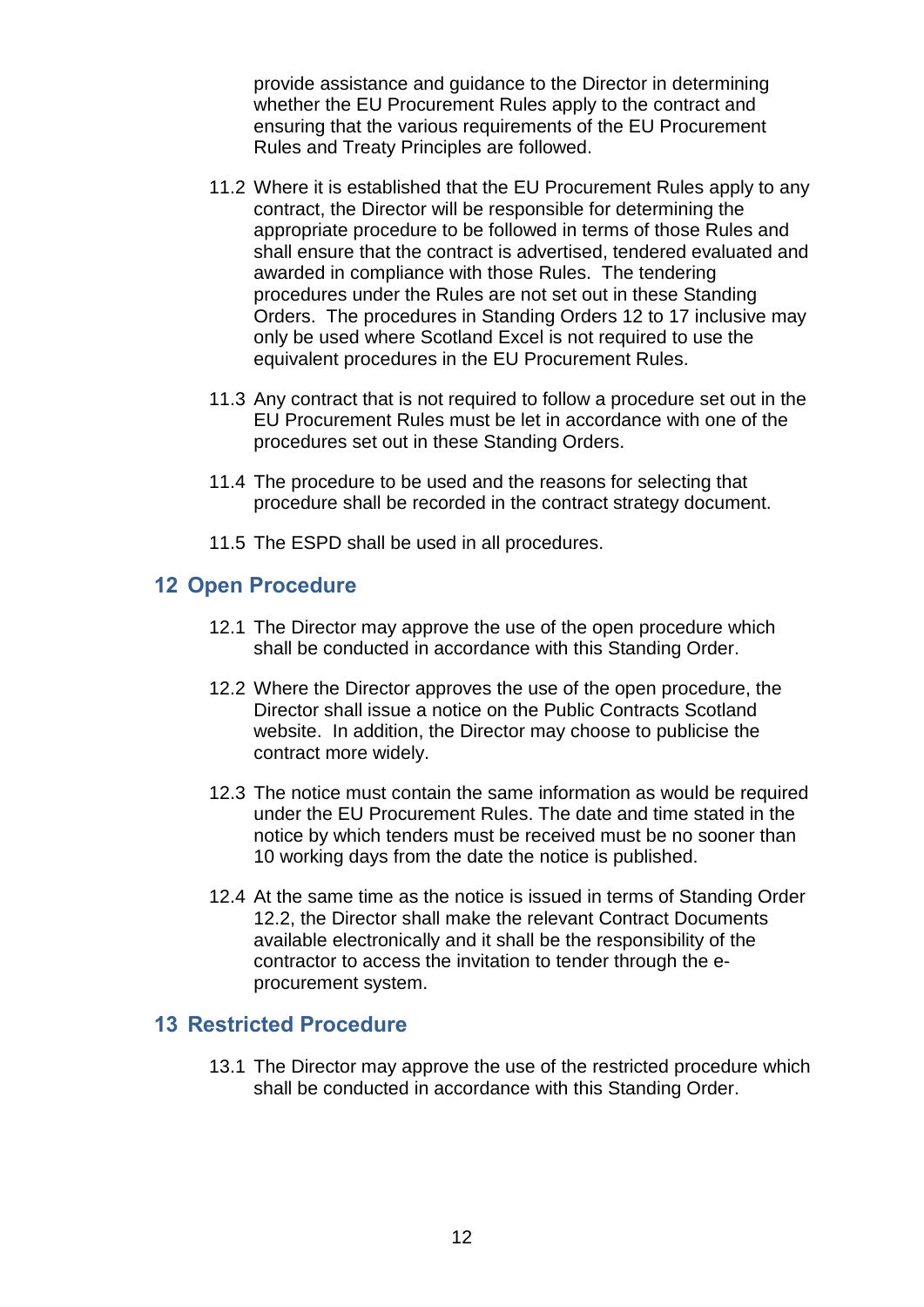provide assistance and guidance to the Director in determining whether the EU Procurement Rules apply to the contract and ensuring that the various requirements of the EU Procurement Rules and Treaty Principles are followed.

- 11.2 Where it is established that the EU Procurement Rules apply to any contract, the Director will be responsible for determining the appropriate procedure to be followed in terms of those Rules and shall ensure that the contract is advertised, tendered evaluated and awarded in compliance with those Rules. The tendering procedures under the Rules are not set out in these Standing Orders. The procedures in Standing Orders 12 to 17 inclusive may only be used where Scotland Excel is not required to use the equivalent procedures in the EU Procurement Rules.
- 11.3 Any contract that is not required to follow a procedure set out in the EU Procurement Rules must be let in accordance with one of the procedures set out in these Standing Orders.
- 11.4 The procedure to be used and the reasons for selecting that procedure shall be recorded in the contract strategy document.
- 11.5 The ESPD shall be used in all procedures.

### <span id="page-14-0"></span>**12 Open Procedure**

- 12.1 The Director may approve the use of the open procedure which shall be conducted in accordance with this Standing Order.
- 12.2 Where the Director approves the use of the open procedure, the Director shall issue a notice on the Public Contracts Scotland website. In addition, the Director may choose to publicise the contract more widely.
- 12.3 The notice must contain the same information as would be required under the EU Procurement Rules. The date and time stated in the notice by which tenders must be received must be no sooner than 10 working days from the date the notice is published.
- 12.4 At the same time as the notice is issued in terms of Standing Order 12.2, the Director shall make the relevant Contract Documents available electronically and it shall be the responsibility of the contractor to access the invitation to tender through the eprocurement system.

#### <span id="page-14-1"></span>**13 Restricted Procedure**

13.1 The Director may approve the use of the restricted procedure which shall be conducted in accordance with this Standing Order.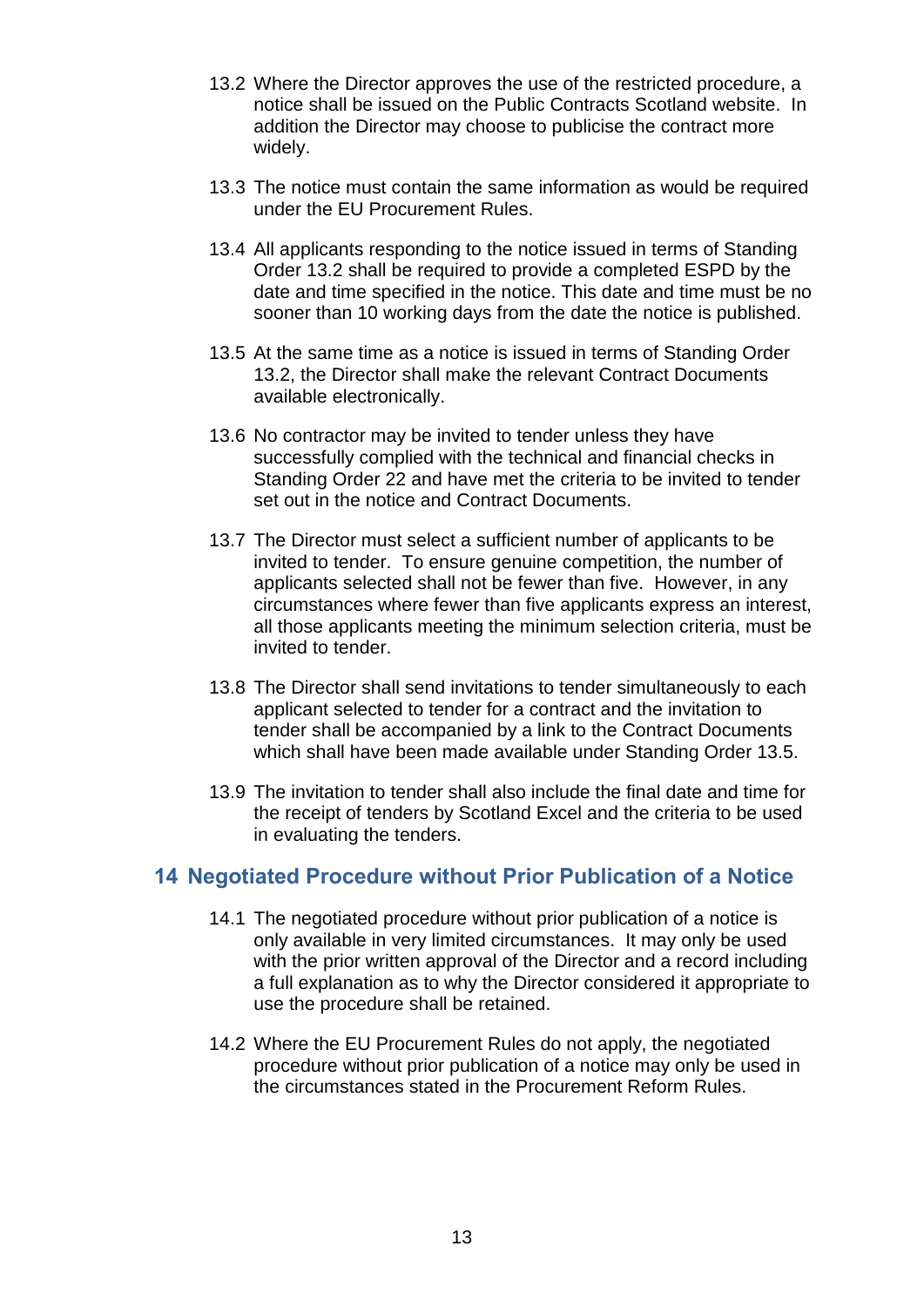- 13.2 Where the Director approves the use of the restricted procedure, a notice shall be issued on the Public Contracts Scotland website. In addition the Director may choose to publicise the contract more widely.
- 13.3 The notice must contain the same information as would be required under the EU Procurement Rules.
- 13.4 All applicants responding to the notice issued in terms of Standing Order 13.2 shall be required to provide a completed ESPD by the date and time specified in the notice. This date and time must be no sooner than 10 working days from the date the notice is published.
- 13.5 At the same time as a notice is issued in terms of Standing Order 13.2, the Director shall make the relevant Contract Documents available electronically.
- 13.6 No contractor may be invited to tender unless they have successfully complied with the technical and financial checks in Standing Order 22 and have met the criteria to be invited to tender set out in the notice and Contract Documents.
- 13.7 The Director must select a sufficient number of applicants to be invited to tender. To ensure genuine competition, the number of applicants selected shall not be fewer than five. However, in any circumstances where fewer than five applicants express an interest, all those applicants meeting the minimum selection criteria, must be invited to tender.
- 13.8 The Director shall send invitations to tender simultaneously to each applicant selected to tender for a contract and the invitation to tender shall be accompanied by a link to the Contract Documents which shall have been made available under Standing Order 13.5.
- 13.9 The invitation to tender shall also include the final date and time for the receipt of tenders by Scotland Excel and the criteria to be used in evaluating the tenders.

# <span id="page-15-0"></span>**14 Negotiated Procedure without Prior Publication of a Notice**

- 14.1 The negotiated procedure without prior publication of a notice is only available in very limited circumstances. It may only be used with the prior written approval of the Director and a record including a full explanation as to why the Director considered it appropriate to use the procedure shall be retained.
- 14.2 Where the EU Procurement Rules do not apply, the negotiated procedure without prior publication of a notice may only be used in the circumstances stated in the Procurement Reform Rules.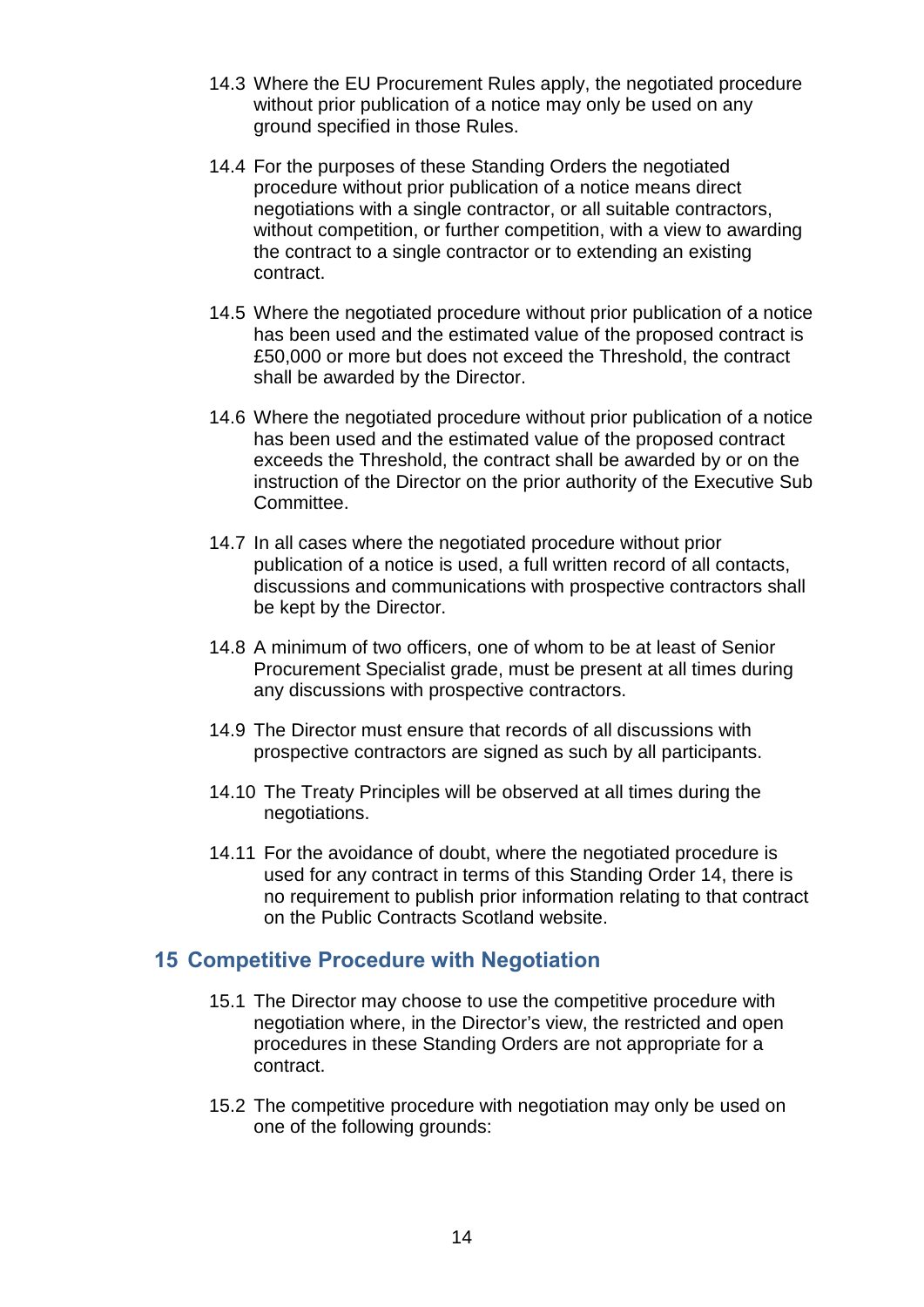- 14.3 Where the EU Procurement Rules apply, the negotiated procedure without prior publication of a notice may only be used on any ground specified in those Rules.
- 14.4 For the purposes of these Standing Orders the negotiated procedure without prior publication of a notice means direct negotiations with a single contractor, or all suitable contractors, without competition, or further competition, with a view to awarding the contract to a single contractor or to extending an existing contract.
- 14.5 Where the negotiated procedure without prior publication of a notice has been used and the estimated value of the proposed contract is £50,000 or more but does not exceed the Threshold, the contract shall be awarded by the Director.
- 14.6 Where the negotiated procedure without prior publication of a notice has been used and the estimated value of the proposed contract exceeds the Threshold, the contract shall be awarded by or on the instruction of the Director on the prior authority of the Executive Sub Committee.
- 14.7 In all cases where the negotiated procedure without prior publication of a notice is used, a full written record of all contacts, discussions and communications with prospective contractors shall be kept by the Director.
- 14.8 A minimum of two officers, one of whom to be at least of Senior Procurement Specialist grade, must be present at all times during any discussions with prospective contractors.
- 14.9 The Director must ensure that records of all discussions with prospective contractors are signed as such by all participants.
- 14.10 The Treaty Principles will be observed at all times during the negotiations.
- 14.11 For the avoidance of doubt, where the negotiated procedure is used for any contract in terms of this Standing Order 14, there is no requirement to publish prior information relating to that contract on the Public Contracts Scotland website.

#### <span id="page-16-0"></span>**15 Competitive Procedure with Negotiation**

- 15.1 The Director may choose to use the competitive procedure with negotiation where, in the Director's view, the restricted and open procedures in these Standing Orders are not appropriate for a contract.
- 15.2 The competitive procedure with negotiation may only be used on one of the following grounds: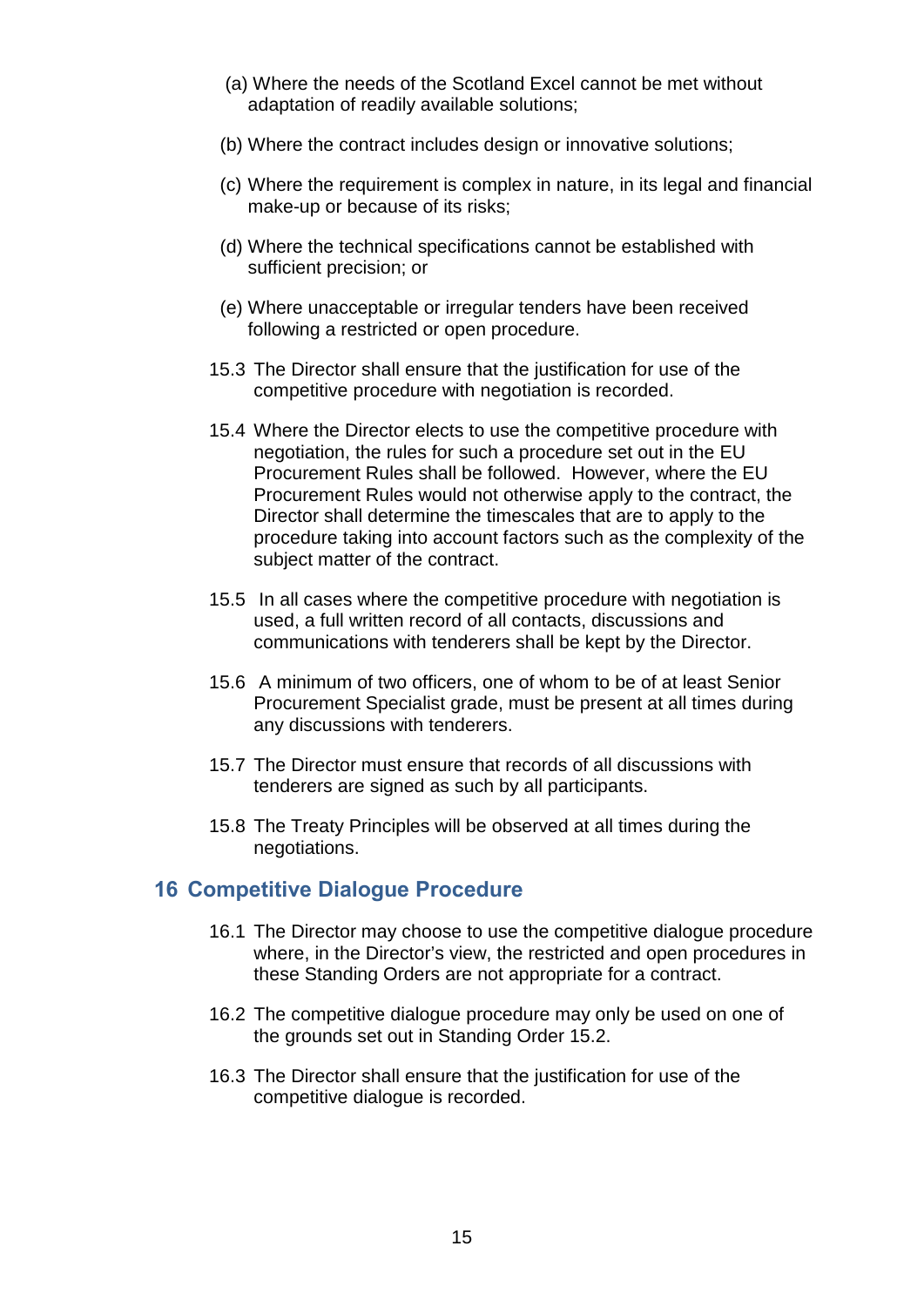- (a) Where the needs of the Scotland Excel cannot be met without adaptation of readily available solutions;
- (b) Where the contract includes design or innovative solutions;
- (c) Where the requirement is complex in nature, in its legal and financial make-up or because of its risks;
- (d) Where the technical specifications cannot be established with sufficient precision; or
- (e) Where unacceptable or irregular tenders have been received following a restricted or open procedure.
- 15.3 The Director shall ensure that the justification for use of the competitive procedure with negotiation is recorded.
- 15.4 Where the Director elects to use the competitive procedure with negotiation, the rules for such a procedure set out in the EU Procurement Rules shall be followed. However, where the EU Procurement Rules would not otherwise apply to the contract, the Director shall determine the timescales that are to apply to the procedure taking into account factors such as the complexity of the subject matter of the contract.
- 15.5 In all cases where the competitive procedure with negotiation is used, a full written record of all contacts, discussions and communications with tenderers shall be kept by the Director.
- 15.6 A minimum of two officers, one of whom to be of at least Senior Procurement Specialist grade, must be present at all times during any discussions with tenderers.
- 15.7 The Director must ensure that records of all discussions with tenderers are signed as such by all participants.
- 15.8 The Treaty Principles will be observed at all times during the negotiations.

#### <span id="page-17-0"></span>**16 Competitive Dialogue Procedure**

- 16.1 The Director may choose to use the competitive dialogue procedure where, in the Director's view, the restricted and open procedures in these Standing Orders are not appropriate for a contract.
- 16.2 The competitive dialogue procedure may only be used on one of the grounds set out in Standing Order 15.2.
- 16.3 The Director shall ensure that the justification for use of the competitive dialogue is recorded.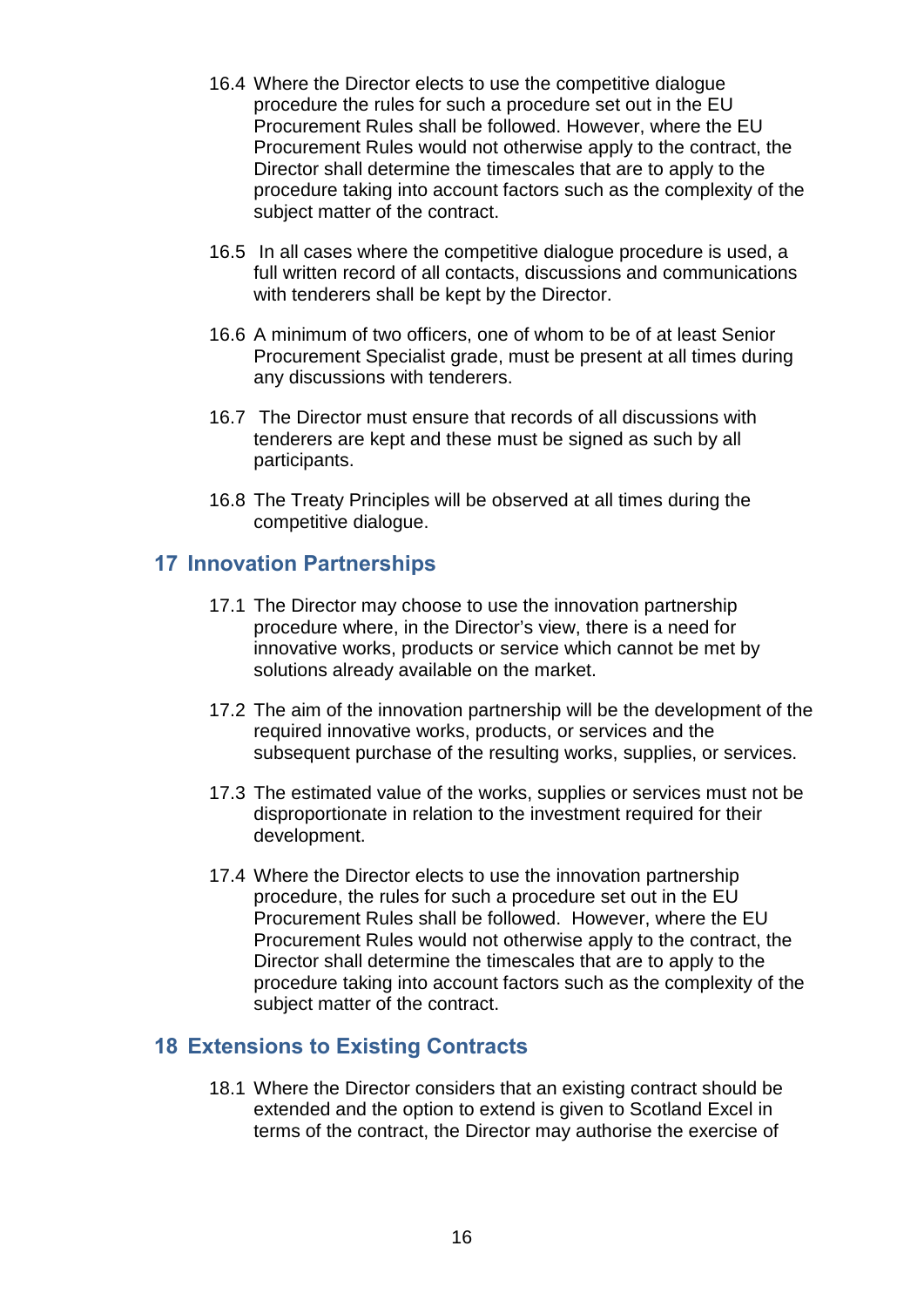- 16.4 Where the Director elects to use the competitive dialogue procedure the rules for such a procedure set out in the EU Procurement Rules shall be followed. However, where the EU Procurement Rules would not otherwise apply to the contract, the Director shall determine the timescales that are to apply to the procedure taking into account factors such as the complexity of the subject matter of the contract.
- 16.5 In all cases where the competitive dialogue procedure is used, a full written record of all contacts, discussions and communications with tenderers shall be kept by the Director.
- 16.6 A minimum of two officers, one of whom to be of at least Senior Procurement Specialist grade, must be present at all times during any discussions with tenderers.
- 16.7 The Director must ensure that records of all discussions with tenderers are kept and these must be signed as such by all participants.
- 16.8 The Treaty Principles will be observed at all times during the competitive dialogue.

# <span id="page-18-0"></span>**17 Innovation Partnerships**

- 17.1 The Director may choose to use the innovation partnership procedure where, in the Director's view, there is a need for innovative works, products or service which cannot be met by solutions already available on the market.
- 17.2 The aim of the innovation partnership will be the development of the required innovative works, products, or services and the subsequent purchase of the resulting works, supplies, or services.
- 17.3 The estimated value of the works, supplies or services must not be disproportionate in relation to the investment required for their development.
- 17.4 Where the Director elects to use the innovation partnership procedure, the rules for such a procedure set out in the EU Procurement Rules shall be followed. However, where the EU Procurement Rules would not otherwise apply to the contract, the Director shall determine the timescales that are to apply to the procedure taking into account factors such as the complexity of the subject matter of the contract.

# <span id="page-18-1"></span>**18 Extensions to Existing Contracts**

18.1 Where the Director considers that an existing contract should be extended and the option to extend is given to Scotland Excel in terms of the contract, the Director may authorise the exercise of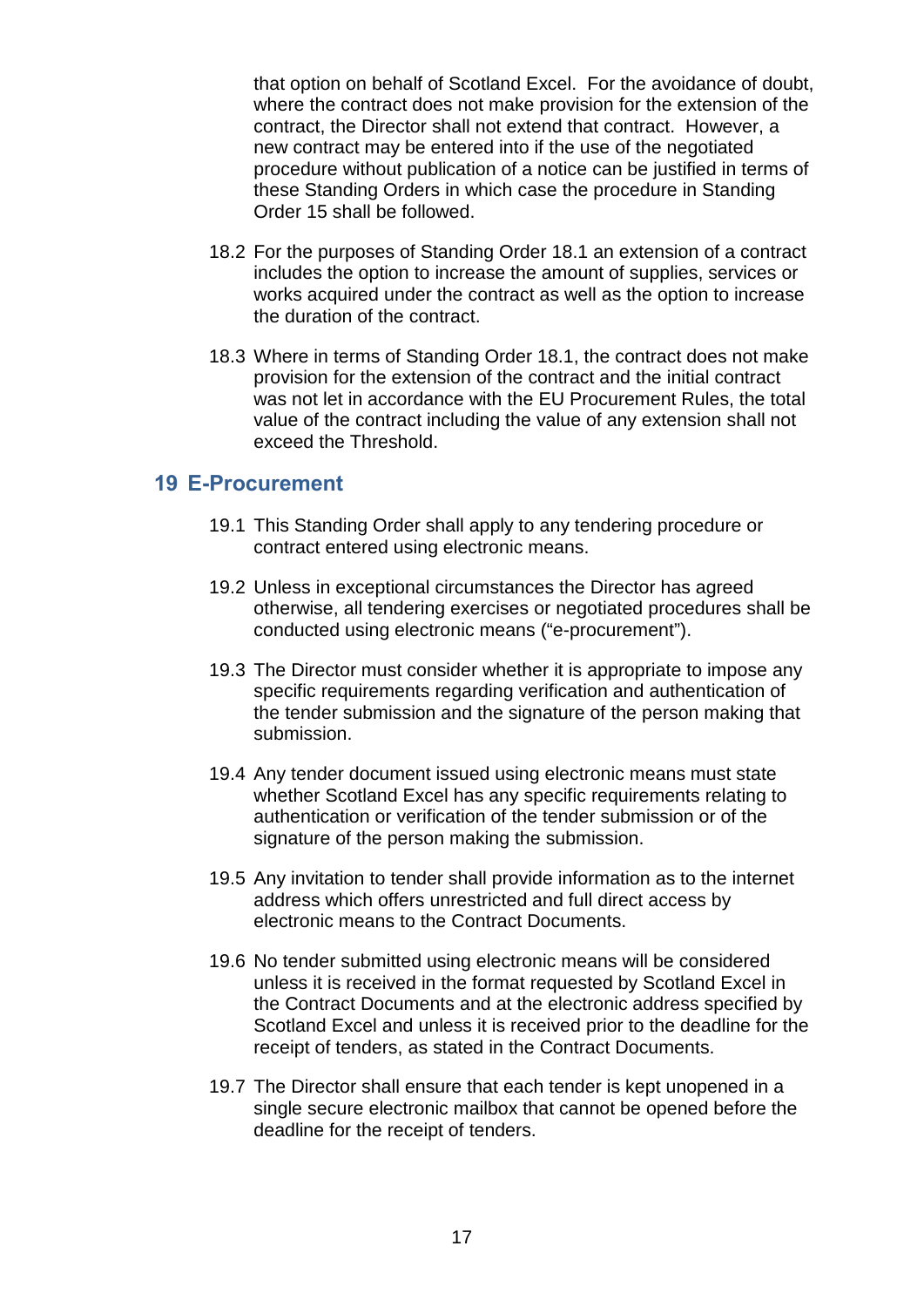that option on behalf of Scotland Excel. For the avoidance of doubt, where the contract does not make provision for the extension of the contract, the Director shall not extend that contract. However, a new contract may be entered into if the use of the negotiated procedure without publication of a notice can be justified in terms of these Standing Orders in which case the procedure in Standing Order 15 shall be followed.

- 18.2 For the purposes of Standing Order 18.1 an extension of a contract includes the option to increase the amount of supplies, services or works acquired under the contract as well as the option to increase the duration of the contract.
- 18.3 Where in terms of Standing Order 18.1, the contract does not make provision for the extension of the contract and the initial contract was not let in accordance with the EU Procurement Rules, the total value of the contract including the value of any extension shall not exceed the Threshold.

# <span id="page-19-0"></span>**19 E-Procurement**

- 19.1 This Standing Order shall apply to any tendering procedure or contract entered using electronic means.
- 19.2 Unless in exceptional circumstances the Director has agreed otherwise, all tendering exercises or negotiated procedures shall be conducted using electronic means ("e-procurement").
- 19.3 The Director must consider whether it is appropriate to impose any specific requirements regarding verification and authentication of the tender submission and the signature of the person making that submission.
- 19.4 Any tender document issued using electronic means must state whether Scotland Excel has any specific requirements relating to authentication or verification of the tender submission or of the signature of the person making the submission.
- 19.5 Any invitation to tender shall provide information as to the internet address which offers unrestricted and full direct access by electronic means to the Contract Documents.
- 19.6 No tender submitted using electronic means will be considered unless it is received in the format requested by Scotland Excel in the Contract Documents and at the electronic address specified by Scotland Excel and unless it is received prior to the deadline for the receipt of tenders, as stated in the Contract Documents.
- 19.7 The Director shall ensure that each tender is kept unopened in a single secure electronic mailbox that cannot be opened before the deadline for the receipt of tenders.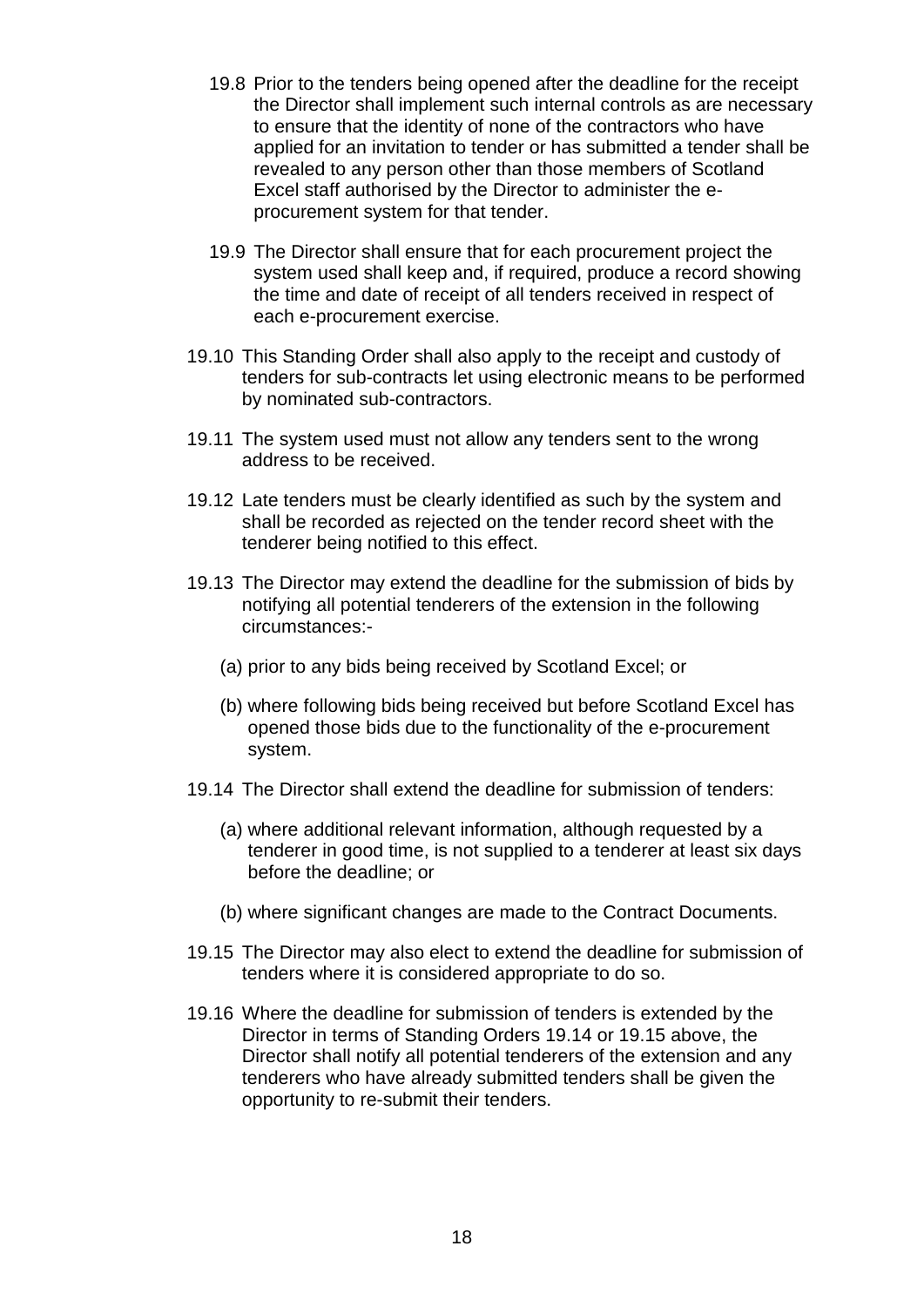- 19.8 Prior to the tenders being opened after the deadline for the receipt the Director shall implement such internal controls as are necessary to ensure that the identity of none of the contractors who have applied for an invitation to tender or has submitted a tender shall be revealed to any person other than those members of Scotland Excel staff authorised by the Director to administer the eprocurement system for that tender.
- 19.9 The Director shall ensure that for each procurement project the system used shall keep and, if required, produce a record showing the time and date of receipt of all tenders received in respect of each e-procurement exercise.
- 19.10 This Standing Order shall also apply to the receipt and custody of tenders for sub-contracts let using electronic means to be performed by nominated sub-contractors.
- 19.11 The system used must not allow any tenders sent to the wrong address to be received.
- 19.12 Late tenders must be clearly identified as such by the system and shall be recorded as rejected on the tender record sheet with the tenderer being notified to this effect.
- 19.13 The Director may extend the deadline for the submission of bids by notifying all potential tenderers of the extension in the following circumstances:-
	- (a) prior to any bids being received by Scotland Excel; or
	- (b) where following bids being received but before Scotland Excel has opened those bids due to the functionality of the e-procurement system.
- 19.14 The Director shall extend the deadline for submission of tenders:
	- (a) where additional relevant information, although requested by a tenderer in good time, is not supplied to a tenderer at least six days before the deadline; or
	- (b) where significant changes are made to the Contract Documents.
- 19.15 The Director may also elect to extend the deadline for submission of tenders where it is considered appropriate to do so.
- 19.16 Where the deadline for submission of tenders is extended by the Director in terms of Standing Orders 19.14 or 19.15 above, the Director shall notify all potential tenderers of the extension and any tenderers who have already submitted tenders shall be given the opportunity to re-submit their tenders.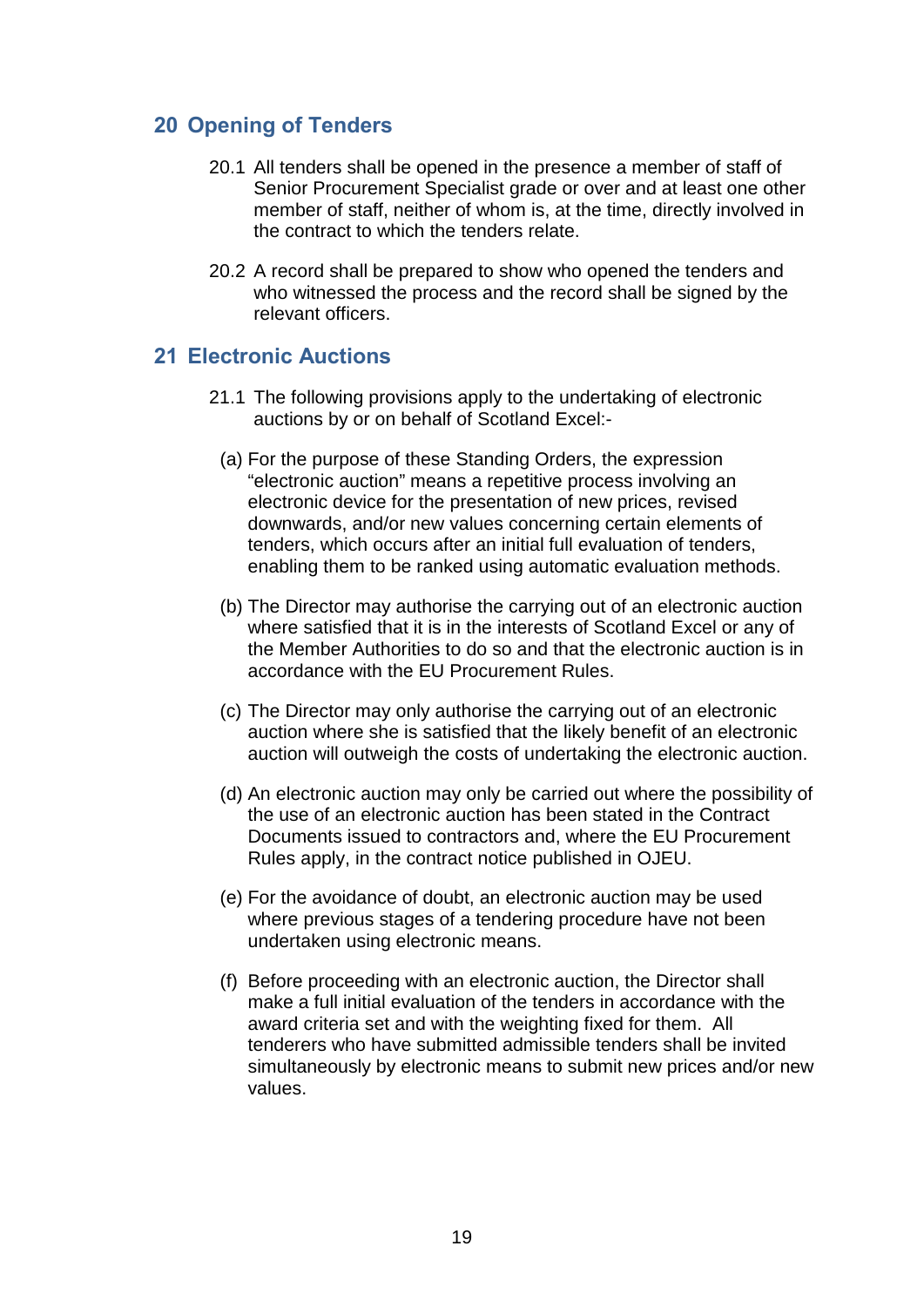# <span id="page-21-0"></span>**20 Opening of Tenders**

- 20.1 All tenders shall be opened in the presence a member of staff of Senior Procurement Specialist grade or over and at least one other member of staff, neither of whom is, at the time, directly involved in the contract to which the tenders relate.
- 20.2 A record shall be prepared to show who opened the tenders and who witnessed the process and the record shall be signed by the relevant officers.

### <span id="page-21-1"></span>**21 Electronic Auctions**

- 21.1 The following provisions apply to the undertaking of electronic auctions by or on behalf of Scotland Excel:-
	- (a) For the purpose of these Standing Orders, the expression "electronic auction" means a repetitive process involving an electronic device for the presentation of new prices, revised downwards, and/or new values concerning certain elements of tenders, which occurs after an initial full evaluation of tenders, enabling them to be ranked using automatic evaluation methods.
	- (b) The Director may authorise the carrying out of an electronic auction where satisfied that it is in the interests of Scotland Excel or any of the Member Authorities to do so and that the electronic auction is in accordance with the EU Procurement Rules.
	- (c) The Director may only authorise the carrying out of an electronic auction where she is satisfied that the likely benefit of an electronic auction will outweigh the costs of undertaking the electronic auction.
	- (d) An electronic auction may only be carried out where the possibility of the use of an electronic auction has been stated in the Contract Documents issued to contractors and, where the EU Procurement Rules apply, in the contract notice published in OJEU.
	- (e) For the avoidance of doubt, an electronic auction may be used where previous stages of a tendering procedure have not been undertaken using electronic means.
	- (f) Before proceeding with an electronic auction, the Director shall make a full initial evaluation of the tenders in accordance with the award criteria set and with the weighting fixed for them. All tenderers who have submitted admissible tenders shall be invited simultaneously by electronic means to submit new prices and/or new values.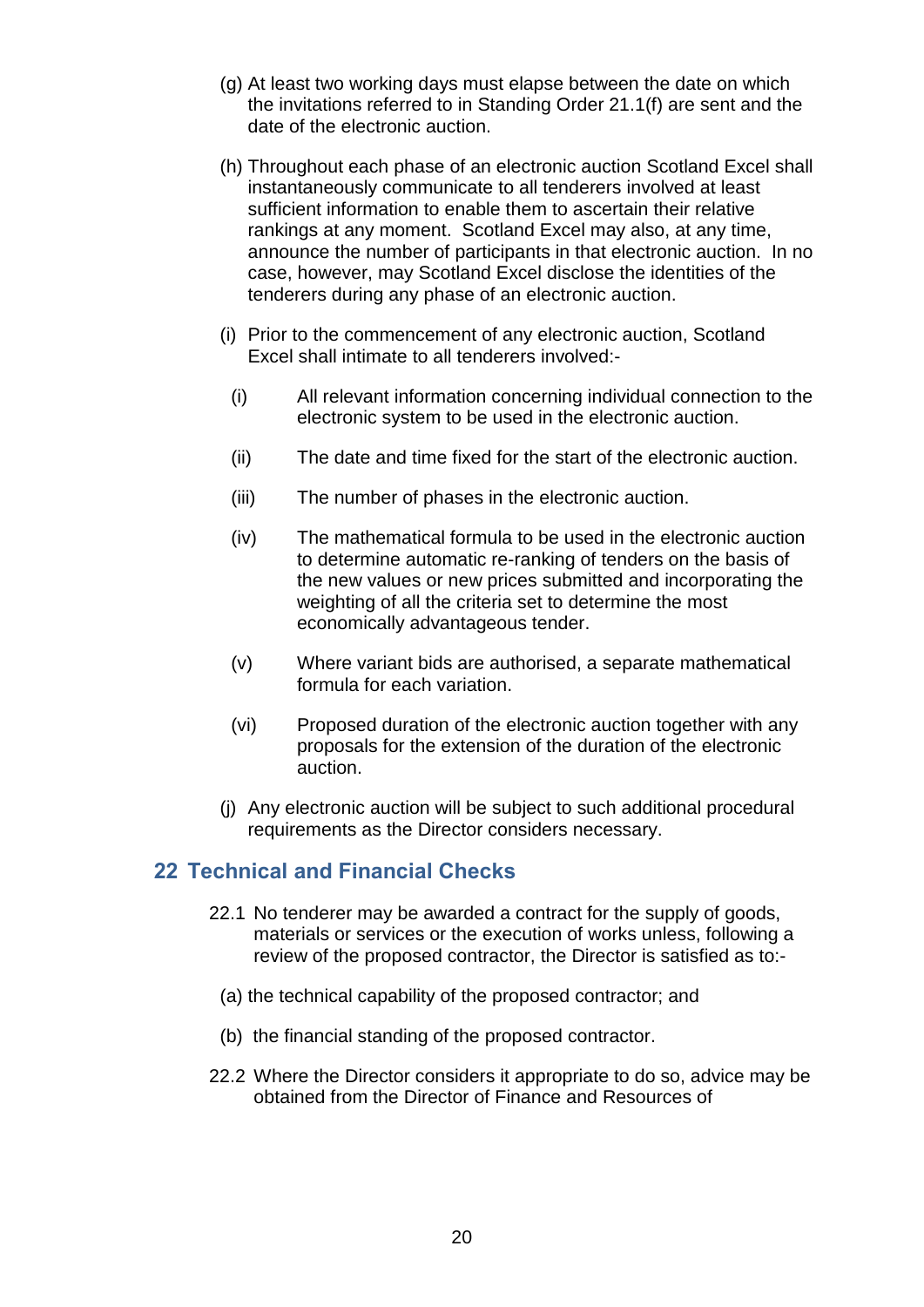- (g) At least two working days must elapse between the date on which the invitations referred to in Standing Order 21.1(f) are sent and the date of the electronic auction.
- (h) Throughout each phase of an electronic auction Scotland Excel shall instantaneously communicate to all tenderers involved at least sufficient information to enable them to ascertain their relative rankings at any moment. Scotland Excel may also, at any time, announce the number of participants in that electronic auction. In no case, however, may Scotland Excel disclose the identities of the tenderers during any phase of an electronic auction.
- (i) Prior to the commencement of any electronic auction, Scotland Excel shall intimate to all tenderers involved:-
	- (i) All relevant information concerning individual connection to the electronic system to be used in the electronic auction.
	- (ii) The date and time fixed for the start of the electronic auction.
	- (iii) The number of phases in the electronic auction.
	- (iv) The mathematical formula to be used in the electronic auction to determine automatic re-ranking of tenders on the basis of the new values or new prices submitted and incorporating the weighting of all the criteria set to determine the most economically advantageous tender.
	- (v) Where variant bids are authorised, a separate mathematical formula for each variation.
	- (vi) Proposed duration of the electronic auction together with any proposals for the extension of the duration of the electronic auction.
- (j) Any electronic auction will be subject to such additional procedural requirements as the Director considers necessary.

#### <span id="page-22-0"></span>**22 Technical and Financial Checks**

- 22.1 No tenderer may be awarded a contract for the supply of goods, materials or services or the execution of works unless, following a review of the proposed contractor, the Director is satisfied as to:-
- (a) the technical capability of the proposed contractor; and
- (b) the financial standing of the proposed contractor.
- 22.2 Where the Director considers it appropriate to do so, advice may be obtained from the Director of Finance and Resources of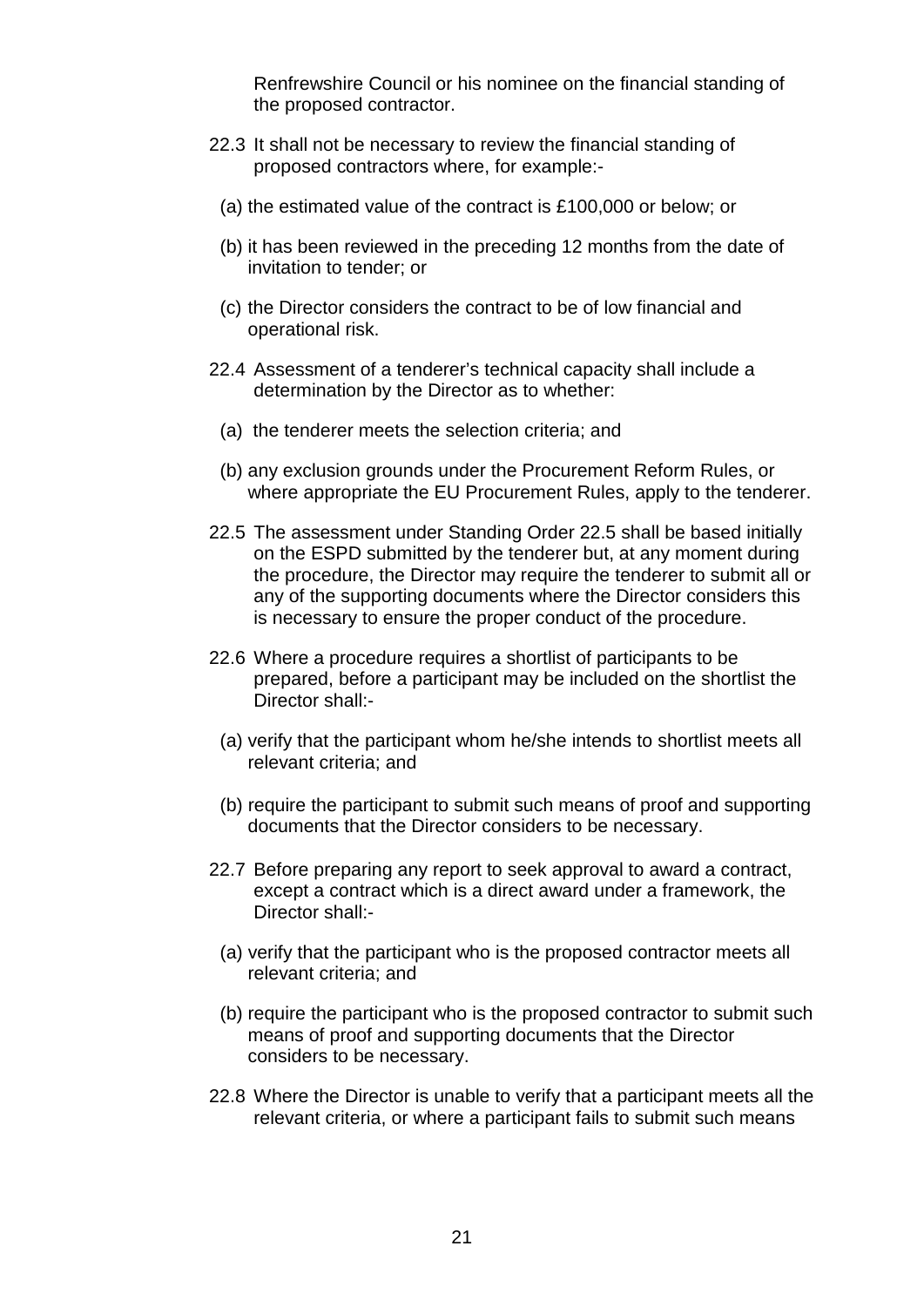Renfrewshire Council or his nominee on the financial standing of the proposed contractor.

- 22.3 It shall not be necessary to review the financial standing of proposed contractors where, for example:-
	- (a) the estimated value of the contract is £100,000 or below; or
	- (b) it has been reviewed in the preceding 12 months from the date of invitation to tender; or
	- (c) the Director considers the contract to be of low financial and operational risk.
- 22.4 Assessment of a tenderer's technical capacity shall include a determination by the Director as to whether:
	- (a) the tenderer meets the selection criteria; and
	- (b) any exclusion grounds under the Procurement Reform Rules, or where appropriate the EU Procurement Rules, apply to the tenderer.
- 22.5 The assessment under Standing Order 22.5 shall be based initially on the ESPD submitted by the tenderer but, at any moment during the procedure, the Director may require the tenderer to submit all or any of the supporting documents where the Director considers this is necessary to ensure the proper conduct of the procedure.
- 22.6 Where a procedure requires a shortlist of participants to be prepared, before a participant may be included on the shortlist the Director shall:-
	- (a) verify that the participant whom he/she intends to shortlist meets all relevant criteria; and
	- (b) require the participant to submit such means of proof and supporting documents that the Director considers to be necessary.
- 22.7 Before preparing any report to seek approval to award a contract, except a contract which is a direct award under a framework, the Director shall:-
	- (a) verify that the participant who is the proposed contractor meets all relevant criteria; and
	- (b) require the participant who is the proposed contractor to submit such means of proof and supporting documents that the Director considers to be necessary.
- 22.8 Where the Director is unable to verify that a participant meets all the relevant criteria, or where a participant fails to submit such means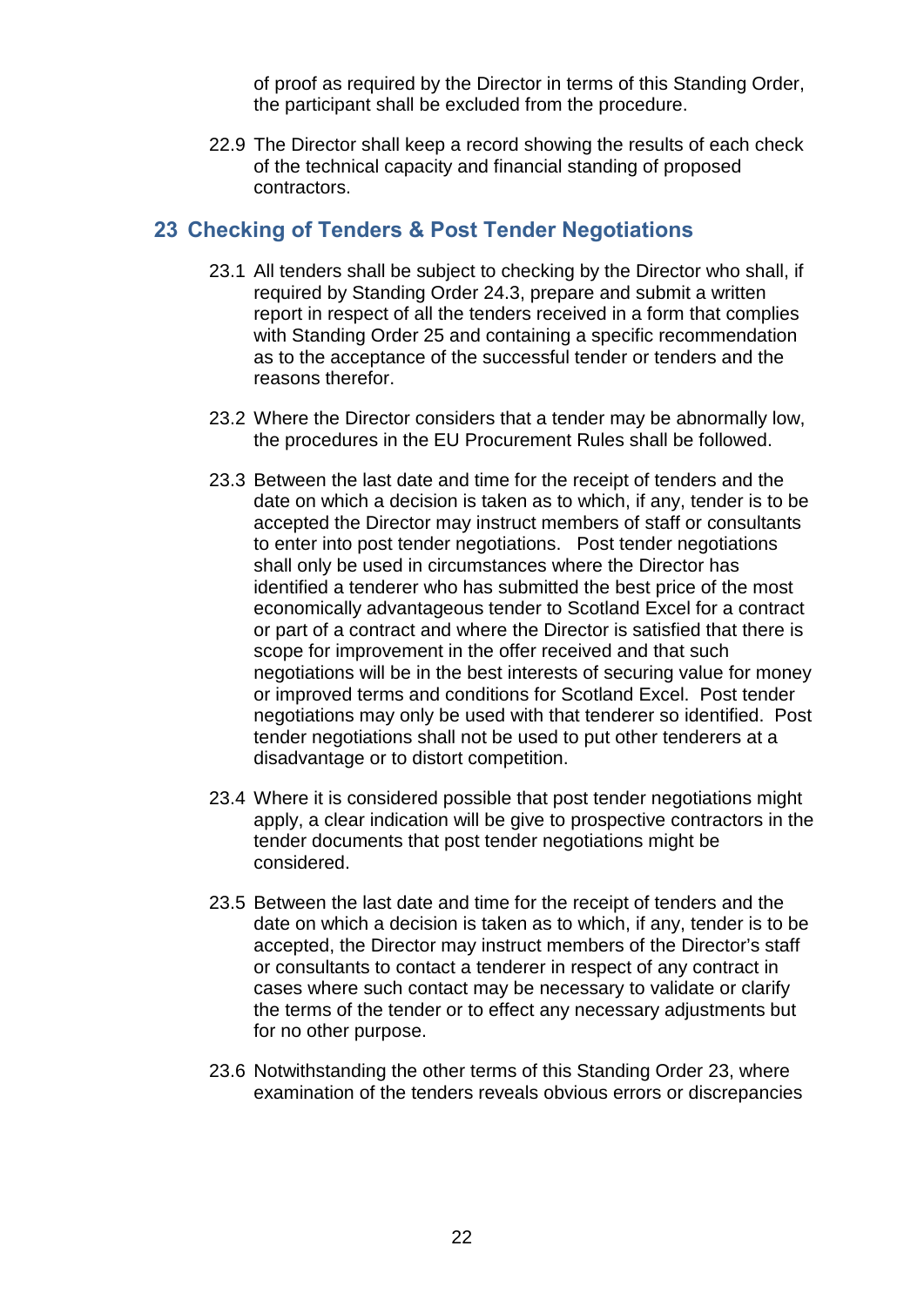of proof as required by the Director in terms of this Standing Order, the participant shall be excluded from the procedure.

22.9 The Director shall keep a record showing the results of each check of the technical capacity and financial standing of proposed contractors.

# <span id="page-24-0"></span>**23 Checking of Tenders & Post Tender Negotiations**

- 23.1 All tenders shall be subject to checking by the Director who shall, if required by Standing Order 24.3, prepare and submit a written report in respect of all the tenders received in a form that complies with Standing Order 25 and containing a specific recommendation as to the acceptance of the successful tender or tenders and the reasons therefor.
- 23.2 Where the Director considers that a tender may be abnormally low, the procedures in the EU Procurement Rules shall be followed.
- 23.3 Between the last date and time for the receipt of tenders and the date on which a decision is taken as to which, if any, tender is to be accepted the Director may instruct members of staff or consultants to enter into post tender negotiations. Post tender negotiations shall only be used in circumstances where the Director has identified a tenderer who has submitted the best price of the most economically advantageous tender to Scotland Excel for a contract or part of a contract and where the Director is satisfied that there is scope for improvement in the offer received and that such negotiations will be in the best interests of securing value for money or improved terms and conditions for Scotland Excel. Post tender negotiations may only be used with that tenderer so identified. Post tender negotiations shall not be used to put other tenderers at a disadvantage or to distort competition.
- 23.4 Where it is considered possible that post tender negotiations might apply, a clear indication will be give to prospective contractors in the tender documents that post tender negotiations might be considered.
- 23.5 Between the last date and time for the receipt of tenders and the date on which a decision is taken as to which, if any, tender is to be accepted, the Director may instruct members of the Director's staff or consultants to contact a tenderer in respect of any contract in cases where such contact may be necessary to validate or clarify the terms of the tender or to effect any necessary adjustments but for no other purpose.
- 23.6 Notwithstanding the other terms of this Standing Order 23, where examination of the tenders reveals obvious errors or discrepancies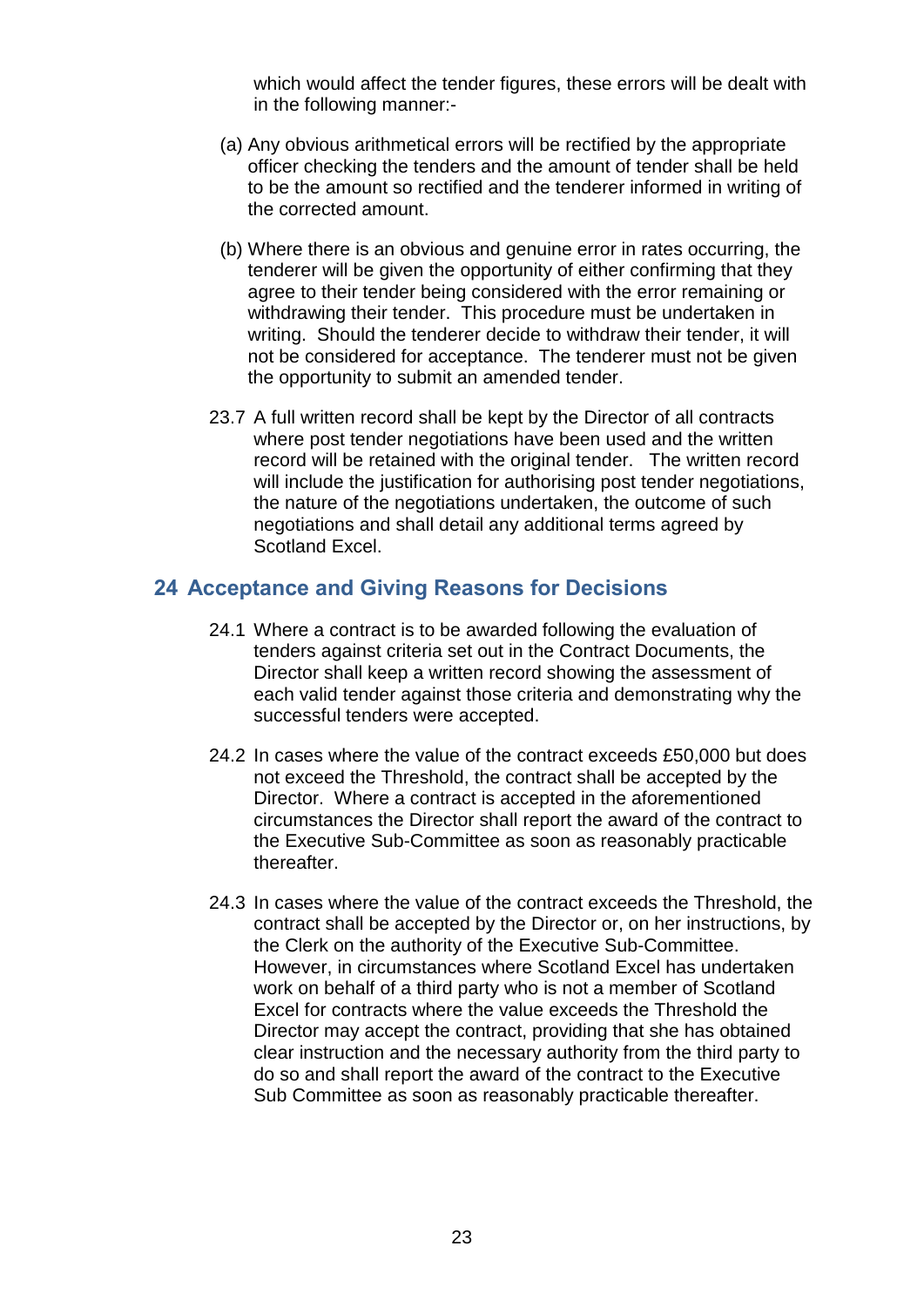which would affect the tender figures, these errors will be dealt with in the following manner:-

- (a) Any obvious arithmetical errors will be rectified by the appropriate officer checking the tenders and the amount of tender shall be held to be the amount so rectified and the tenderer informed in writing of the corrected amount.
- (b) Where there is an obvious and genuine error in rates occurring, the tenderer will be given the opportunity of either confirming that they agree to their tender being considered with the error remaining or withdrawing their tender. This procedure must be undertaken in writing. Should the tenderer decide to withdraw their tender, it will not be considered for acceptance. The tenderer must not be given the opportunity to submit an amended tender.
- 23.7 A full written record shall be kept by the Director of all contracts where post tender negotiations have been used and the written record will be retained with the original tender. The written record will include the justification for authorising post tender negotiations, the nature of the negotiations undertaken, the outcome of such negotiations and shall detail any additional terms agreed by Scotland Excel.

# <span id="page-25-0"></span>**24 Acceptance and Giving Reasons for Decisions**

- 24.1 Where a contract is to be awarded following the evaluation of tenders against criteria set out in the Contract Documents, the Director shall keep a written record showing the assessment of each valid tender against those criteria and demonstrating why the successful tenders were accepted.
- 24.2 In cases where the value of the contract exceeds £50,000 but does not exceed the Threshold, the contract shall be accepted by the Director. Where a contract is accepted in the aforementioned circumstances the Director shall report the award of the contract to the Executive Sub-Committee as soon as reasonably practicable thereafter.
- 24.3 In cases where the value of the contract exceeds the Threshold, the contract shall be accepted by the Director or, on her instructions, by the Clerk on the authority of the Executive Sub-Committee. However, in circumstances where Scotland Excel has undertaken work on behalf of a third party who is not a member of Scotland Excel for contracts where the value exceeds the Threshold the Director may accept the contract, providing that she has obtained clear instruction and the necessary authority from the third party to do so and shall report the award of the contract to the Executive Sub Committee as soon as reasonably practicable thereafter.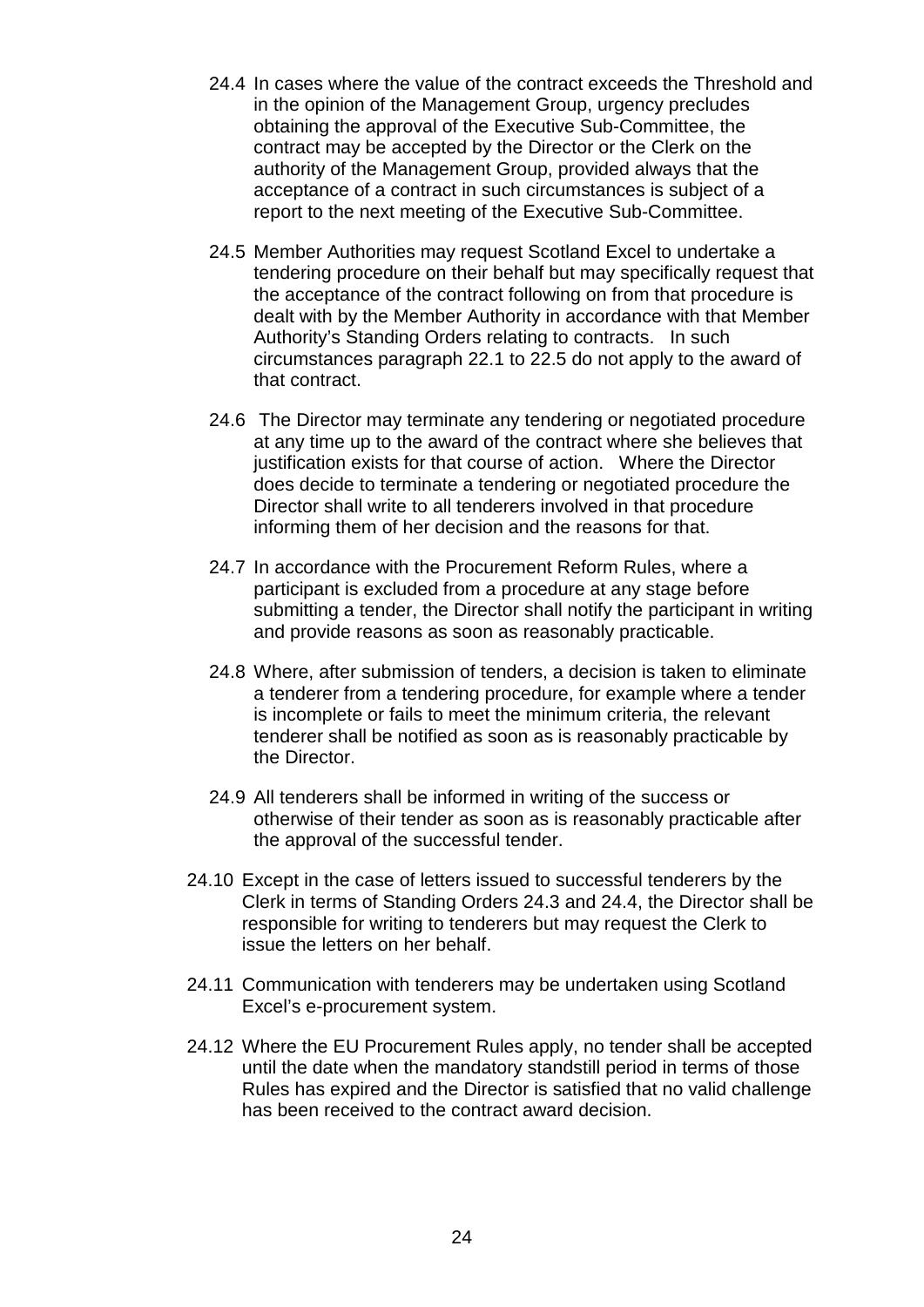- 24.4 In cases where the value of the contract exceeds the Threshold and in the opinion of the Management Group, urgency precludes obtaining the approval of the Executive Sub-Committee, the contract may be accepted by the Director or the Clerk on the authority of the Management Group, provided always that the acceptance of a contract in such circumstances is subject of a report to the next meeting of the Executive Sub-Committee.
- 24.5 Member Authorities may request Scotland Excel to undertake a tendering procedure on their behalf but may specifically request that the acceptance of the contract following on from that procedure is dealt with by the Member Authority in accordance with that Member Authority's Standing Orders relating to contracts. In such circumstances paragraph 22.1 to 22.5 do not apply to the award of that contract.
- 24.6 The Director may terminate any tendering or negotiated procedure at any time up to the award of the contract where she believes that justification exists for that course of action. Where the Director does decide to terminate a tendering or negotiated procedure the Director shall write to all tenderers involved in that procedure informing them of her decision and the reasons for that.
- 24.7 In accordance with the Procurement Reform Rules, where a participant is excluded from a procedure at any stage before submitting a tender, the Director shall notify the participant in writing and provide reasons as soon as reasonably practicable.
- 24.8 Where, after submission of tenders, a decision is taken to eliminate a tenderer from a tendering procedure, for example where a tender is incomplete or fails to meet the minimum criteria, the relevant tenderer shall be notified as soon as is reasonably practicable by the Director.
- 24.9 All tenderers shall be informed in writing of the success or otherwise of their tender as soon as is reasonably practicable after the approval of the successful tender.
- 24.10 Except in the case of letters issued to successful tenderers by the Clerk in terms of Standing Orders 24.3 and 24.4, the Director shall be responsible for writing to tenderers but may request the Clerk to issue the letters on her behalf.
- 24.11 Communication with tenderers may be undertaken using Scotland Excel's e-procurement system.
- 24.12 Where the EU Procurement Rules apply, no tender shall be accepted until the date when the mandatory standstill period in terms of those Rules has expired and the Director is satisfied that no valid challenge has been received to the contract award decision.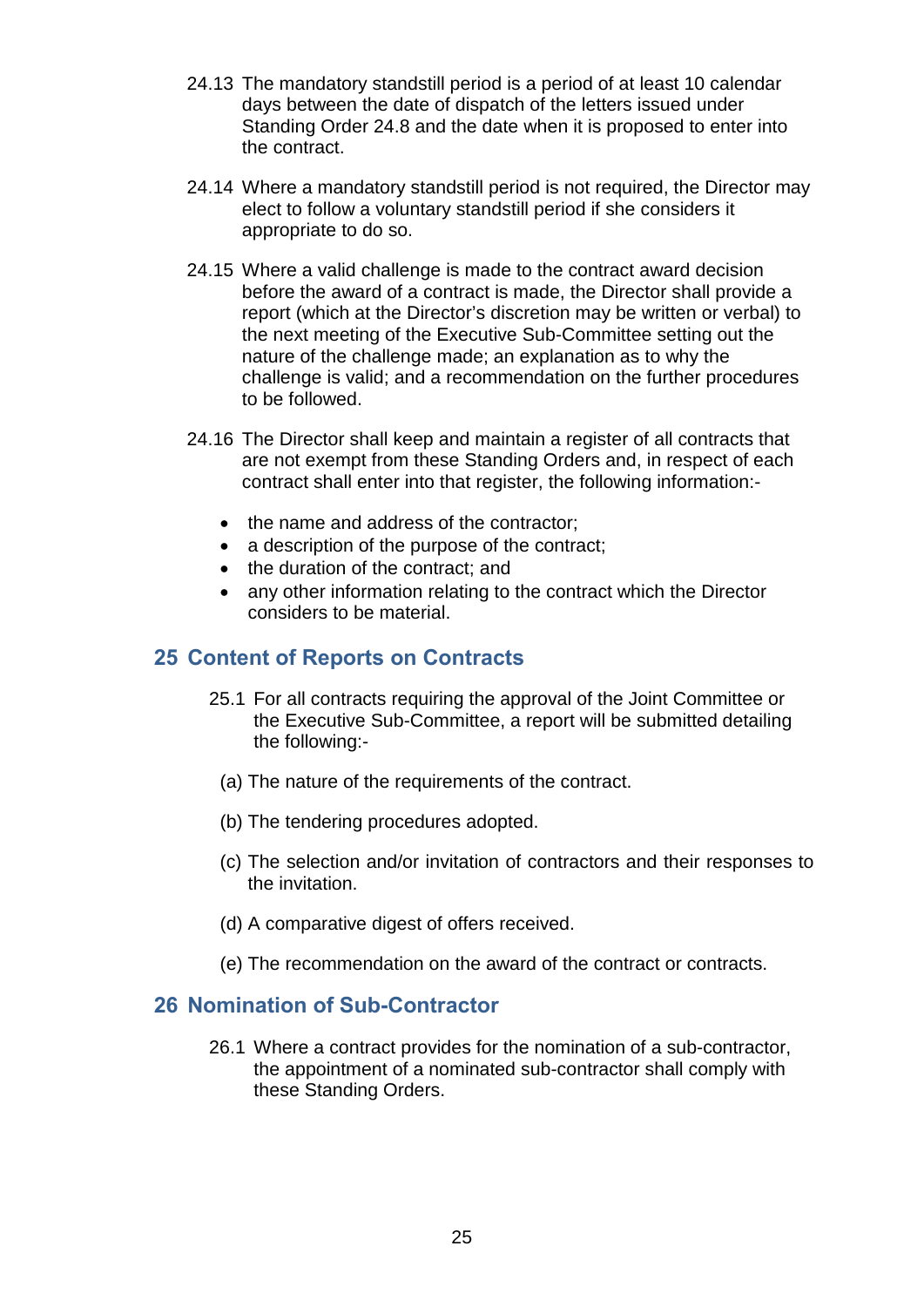- 24.13 The mandatory standstill period is a period of at least 10 calendar days between the date of dispatch of the letters issued under Standing Order 24.8 and the date when it is proposed to enter into the contract.
- 24.14 Where a mandatory standstill period is not required, the Director may elect to follow a voluntary standstill period if she considers it appropriate to do so.
- 24.15 Where a valid challenge is made to the contract award decision before the award of a contract is made, the Director shall provide a report (which at the Director's discretion may be written or verbal) to the next meeting of the Executive Sub-Committee setting out the nature of the challenge made; an explanation as to why the challenge is valid; and a recommendation on the further procedures to be followed.
- 24.16 The Director shall keep and maintain a register of all contracts that are not exempt from these Standing Orders and, in respect of each contract shall enter into that register, the following information:-
	- the name and address of the contractor;
	- a description of the purpose of the contract;
	- the duration of the contract; and
	- any other information relating to the contract which the Director considers to be material.

#### <span id="page-27-0"></span>**25 Content of Reports on Contracts**

- 25.1 For all contracts requiring the approval of the Joint Committee or the Executive Sub-Committee, a report will be submitted detailing the following:-
- (a) The nature of the requirements of the contract.
- (b) The tendering procedures adopted.
- (c) The selection and/or invitation of contractors and their responses to the invitation.
- (d) A comparative digest of offers received.
- (e) The recommendation on the award of the contract or contracts.

#### <span id="page-27-1"></span>**26 Nomination of Sub-Contractor**

26.1 Where a contract provides for the nomination of a sub-contractor, the appointment of a nominated sub-contractor shall comply with these Standing Orders.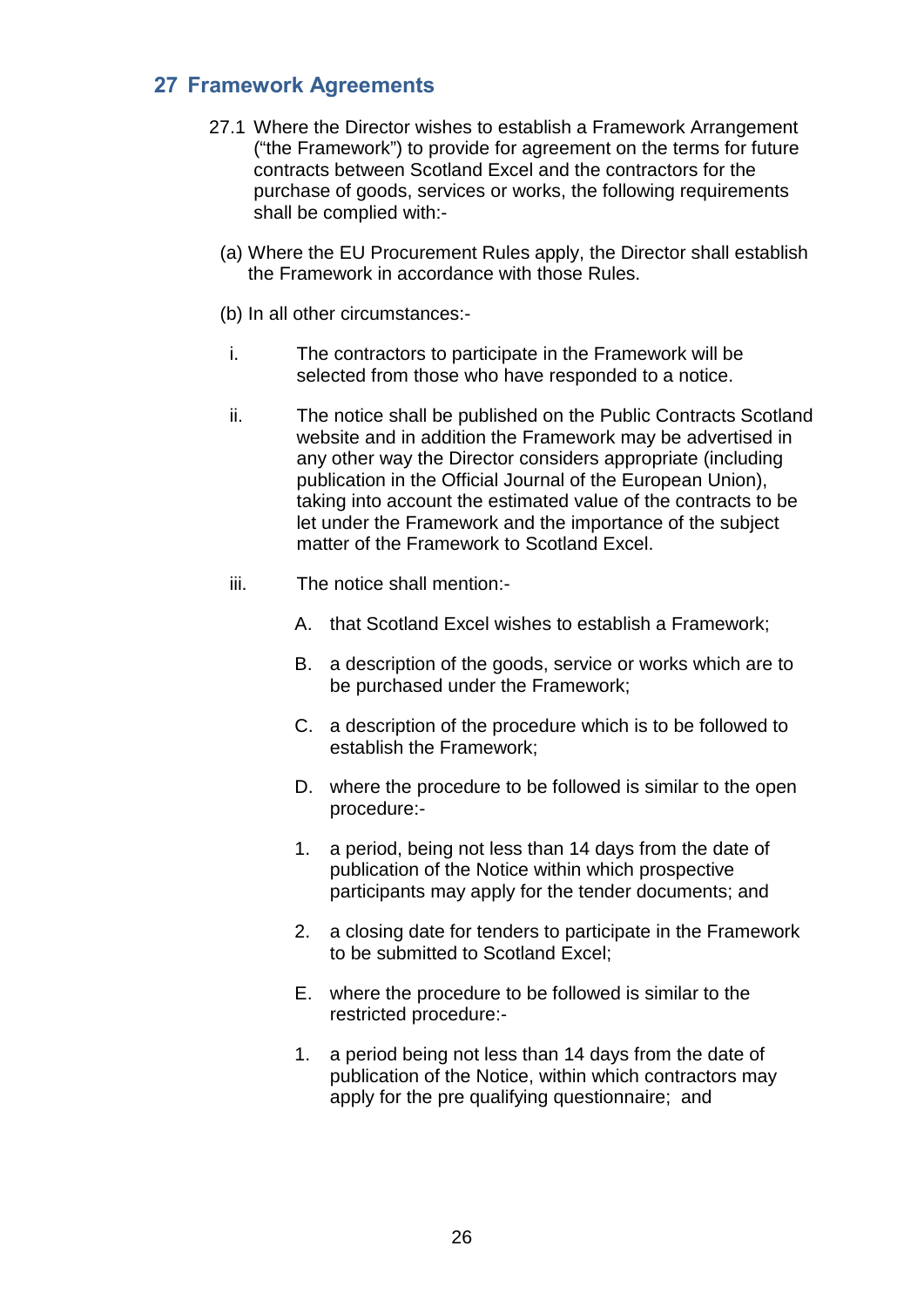# <span id="page-28-0"></span>**27 Framework Agreements**

- 27.1 Where the Director wishes to establish a Framework Arrangement ("the Framework") to provide for agreement on the terms for future contracts between Scotland Excel and the contractors for the purchase of goods, services or works, the following requirements shall be complied with:-
	- (a) Where the EU Procurement Rules apply, the Director shall establish the Framework in accordance with those Rules.
	- (b) In all other circumstances:-
	- i. The contractors to participate in the Framework will be selected from those who have responded to a notice.
	- ii. The notice shall be published on the Public Contracts Scotland website and in addition the Framework may be advertised in any other way the Director considers appropriate (including publication in the Official Journal of the European Union), taking into account the estimated value of the contracts to be let under the Framework and the importance of the subject matter of the Framework to Scotland Excel.
	- iii. The notice shall mention:-
		- A. that Scotland Excel wishes to establish a Framework;
		- B. a description of the goods, service or works which are to be purchased under the Framework;
		- C. a description of the procedure which is to be followed to establish the Framework;
		- D. where the procedure to be followed is similar to the open procedure:-
		- 1. a period, being not less than 14 days from the date of publication of the Notice within which prospective participants may apply for the tender documents; and
		- 2. a closing date for tenders to participate in the Framework to be submitted to Scotland Excel;
		- E. where the procedure to be followed is similar to the restricted procedure:-
		- 1. a period being not less than 14 days from the date of publication of the Notice, within which contractors may apply for the pre qualifying questionnaire; and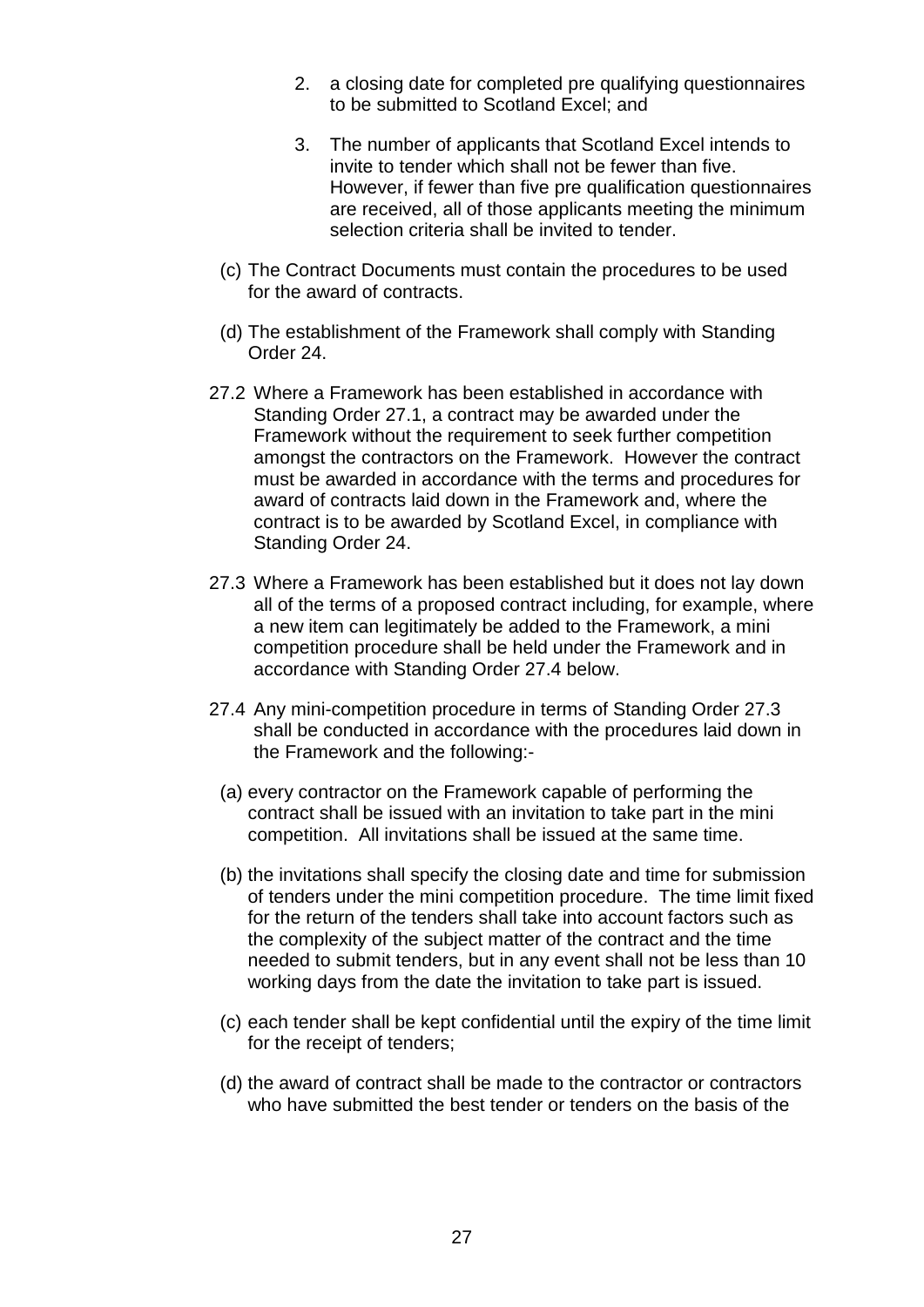- 2. a closing date for completed pre qualifying questionnaires to be submitted to Scotland Excel; and
- 3. The number of applicants that Scotland Excel intends to invite to tender which shall not be fewer than five. However, if fewer than five pre qualification questionnaires are received, all of those applicants meeting the minimum selection criteria shall be invited to tender.
- (c) The Contract Documents must contain the procedures to be used for the award of contracts.
- (d) The establishment of the Framework shall comply with Standing Order 24.
- 27.2 Where a Framework has been established in accordance with Standing Order 27.1, a contract may be awarded under the Framework without the requirement to seek further competition amongst the contractors on the Framework. However the contract must be awarded in accordance with the terms and procedures for award of contracts laid down in the Framework and, where the contract is to be awarded by Scotland Excel, in compliance with Standing Order 24.
- 27.3 Where a Framework has been established but it does not lay down all of the terms of a proposed contract including, for example, where a new item can legitimately be added to the Framework, a mini competition procedure shall be held under the Framework and in accordance with Standing Order 27.4 below.
- 27.4 Any mini-competition procedure in terms of Standing Order 27.3 shall be conducted in accordance with the procedures laid down in the Framework and the following:-
	- (a) every contractor on the Framework capable of performing the contract shall be issued with an invitation to take part in the mini competition. All invitations shall be issued at the same time.
	- (b) the invitations shall specify the closing date and time for submission of tenders under the mini competition procedure. The time limit fixed for the return of the tenders shall take into account factors such as the complexity of the subject matter of the contract and the time needed to submit tenders, but in any event shall not be less than 10 working days from the date the invitation to take part is issued.
	- (c) each tender shall be kept confidential until the expiry of the time limit for the receipt of tenders;
	- (d) the award of contract shall be made to the contractor or contractors who have submitted the best tender or tenders on the basis of the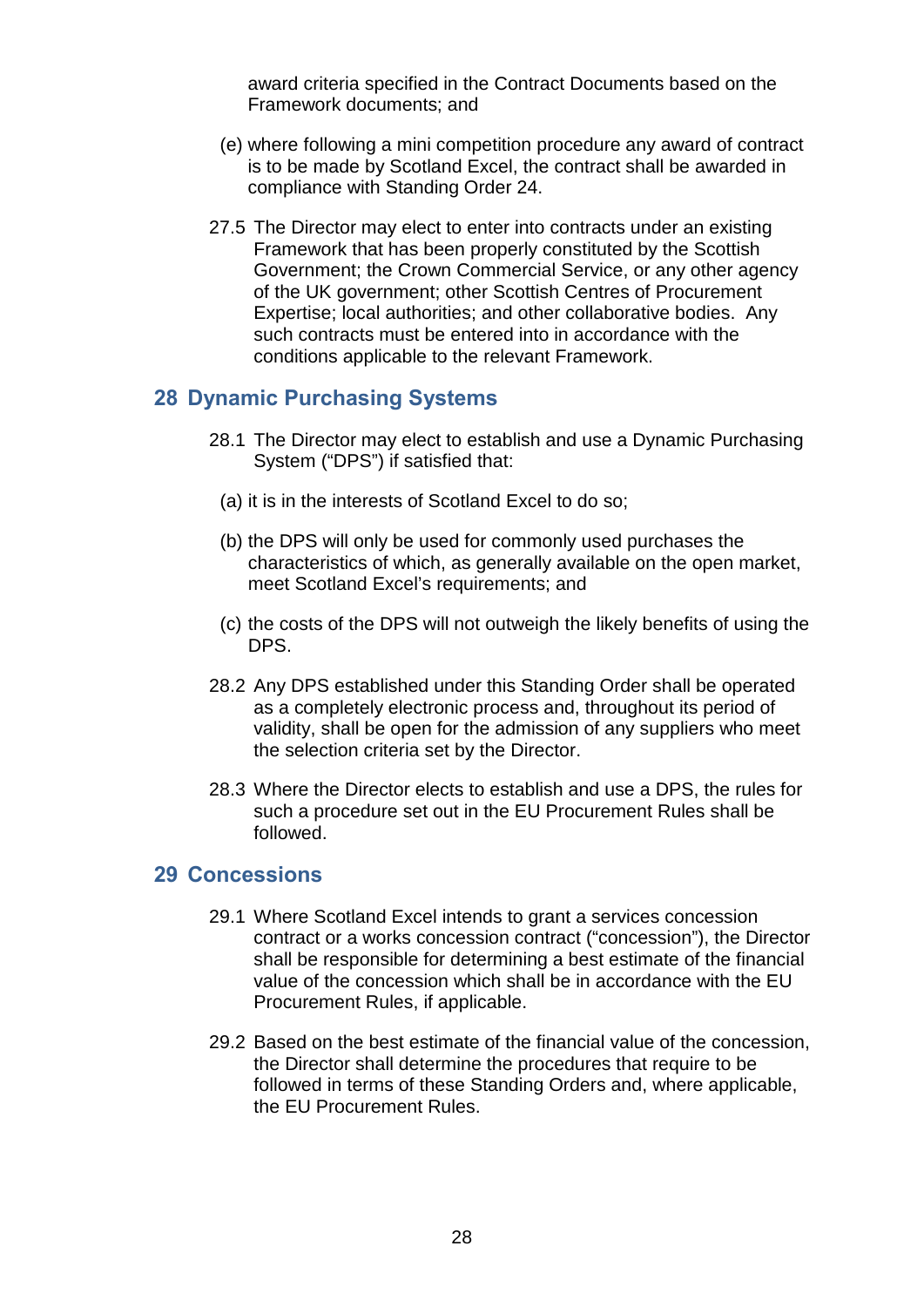award criteria specified in the Contract Documents based on the Framework documents; and

- (e) where following a mini competition procedure any award of contract is to be made by Scotland Excel, the contract shall be awarded in compliance with Standing Order 24.
- 27.5 The Director may elect to enter into contracts under an existing Framework that has been properly constituted by the Scottish Government; the Crown Commercial Service, or any other agency of the UK government; other Scottish Centres of Procurement Expertise; local authorities; and other collaborative bodies. Any such contracts must be entered into in accordance with the conditions applicable to the relevant Framework.

### <span id="page-30-0"></span>**28 Dynamic Purchasing Systems**

- 28.1 The Director may elect to establish and use a Dynamic Purchasing System ("DPS") if satisfied that:
	- (a) it is in the interests of Scotland Excel to do so;
	- (b) the DPS will only be used for commonly used purchases the characteristics of which, as generally available on the open market, meet Scotland Excel's requirements; and
	- (c) the costs of the DPS will not outweigh the likely benefits of using the DPS.
- 28.2 Any DPS established under this Standing Order shall be operated as a completely electronic process and, throughout its period of validity, shall be open for the admission of any suppliers who meet the selection criteria set by the Director.
- 28.3 Where the Director elects to establish and use a DPS, the rules for such a procedure set out in the EU Procurement Rules shall be followed.

#### <span id="page-30-1"></span>**29 Concessions**

- 29.1 Where Scotland Excel intends to grant a services concession contract or a works concession contract ("concession"), the Director shall be responsible for determining a best estimate of the financial value of the concession which shall be in accordance with the EU Procurement Rules, if applicable.
- 29.2 Based on the best estimate of the financial value of the concession, the Director shall determine the procedures that require to be followed in terms of these Standing Orders and, where applicable, the EU Procurement Rules.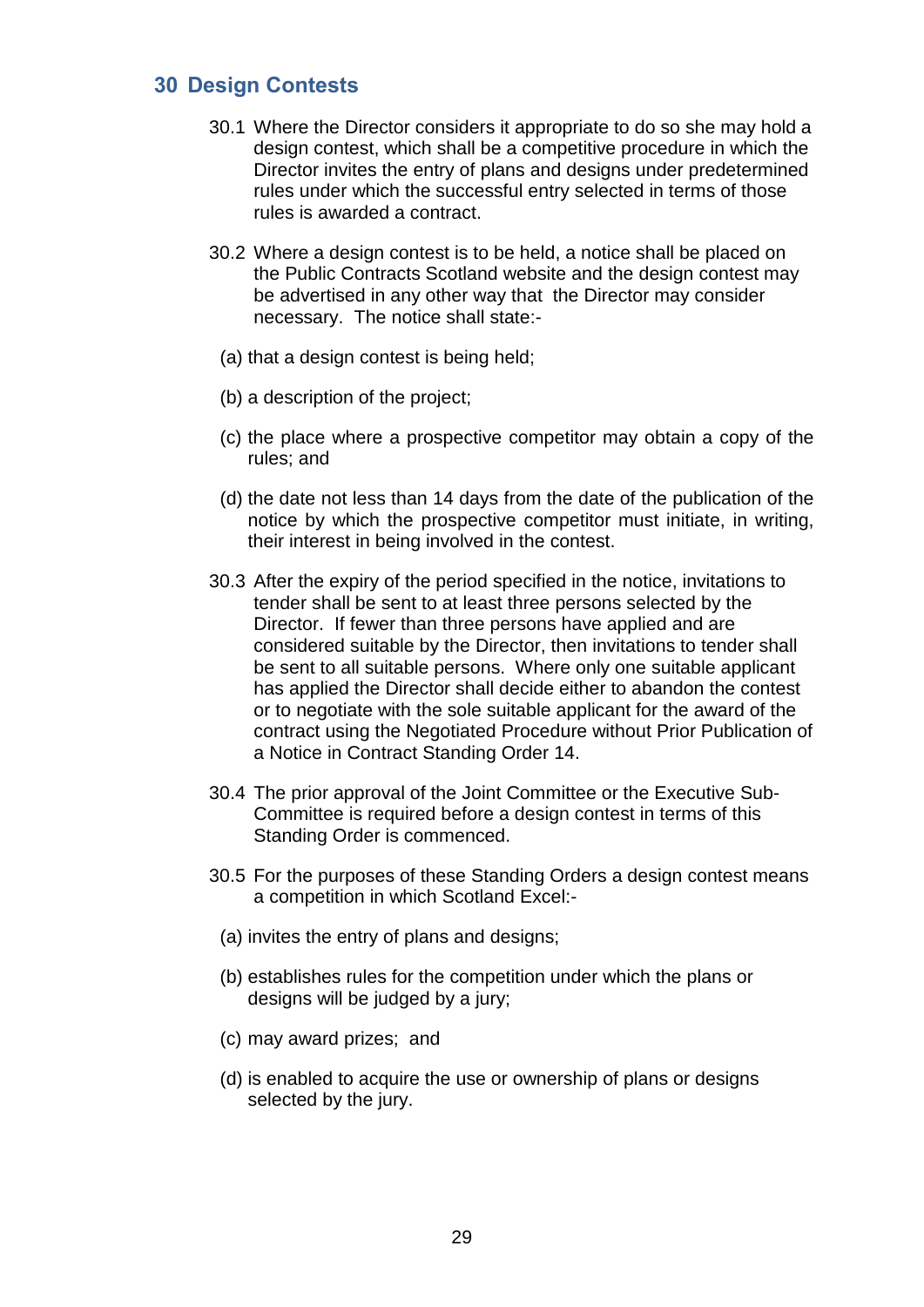# <span id="page-31-0"></span>**30 Design Contests**

- 30.1 Where the Director considers it appropriate to do so she may hold a design contest, which shall be a competitive procedure in which the Director invites the entry of plans and designs under predetermined rules under which the successful entry selected in terms of those rules is awarded a contract.
- 30.2 Where a design contest is to be held, a notice shall be placed on the Public Contracts Scotland website and the design contest may be advertised in any other way that the Director may consider necessary. The notice shall state:-
	- (a) that a design contest is being held;
	- (b) a description of the project;
	- (c) the place where a prospective competitor may obtain a copy of the rules; and
	- (d) the date not less than 14 days from the date of the publication of the notice by which the prospective competitor must initiate, in writing, their interest in being involved in the contest.
- 30.3 After the expiry of the period specified in the notice, invitations to tender shall be sent to at least three persons selected by the Director. If fewer than three persons have applied and are considered suitable by the Director, then invitations to tender shall be sent to all suitable persons. Where only one suitable applicant has applied the Director shall decide either to abandon the contest or to negotiate with the sole suitable applicant for the award of the contract using the Negotiated Procedure without Prior Publication of a Notice in Contract Standing Order 14.
- 30.4 The prior approval of the Joint Committee or the Executive Sub-Committee is required before a design contest in terms of this Standing Order is commenced.
- 30.5 For the purposes of these Standing Orders a design contest means a competition in which Scotland Excel:-
- (a) invites the entry of plans and designs;
- (b) establishes rules for the competition under which the plans or designs will be judged by a jury;
- (c) may award prizes; and
- (d) is enabled to acquire the use or ownership of plans or designs selected by the jury.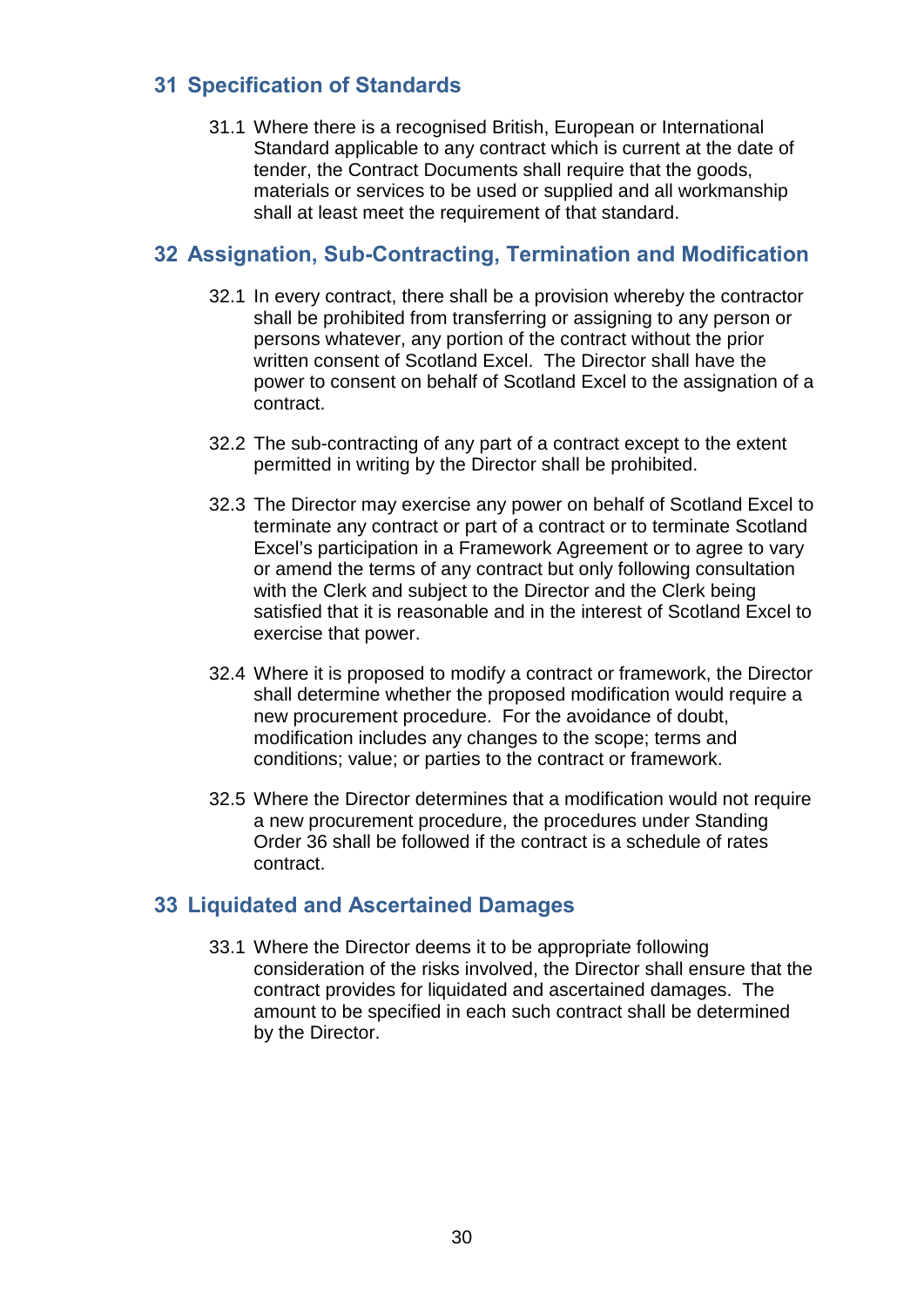# <span id="page-32-0"></span>**31 Specification of Standards**

31.1 Where there is a recognised British, European or International Standard applicable to any contract which is current at the date of tender, the Contract Documents shall require that the goods, materials or services to be used or supplied and all workmanship shall at least meet the requirement of that standard.

# <span id="page-32-1"></span>**32 Assignation, Sub-Contracting, Termination and Modification**

- 32.1 In every contract, there shall be a provision whereby the contractor shall be prohibited from transferring or assigning to any person or persons whatever, any portion of the contract without the prior written consent of Scotland Excel. The Director shall have the power to consent on behalf of Scotland Excel to the assignation of a contract.
- 32.2 The sub-contracting of any part of a contract except to the extent permitted in writing by the Director shall be prohibited.
- 32.3 The Director may exercise any power on behalf of Scotland Excel to terminate any contract or part of a contract or to terminate Scotland Excel's participation in a Framework Agreement or to agree to vary or amend the terms of any contract but only following consultation with the Clerk and subject to the Director and the Clerk being satisfied that it is reasonable and in the interest of Scotland Excel to exercise that power.
- 32.4 Where it is proposed to modify a contract or framework, the Director shall determine whether the proposed modification would require a new procurement procedure. For the avoidance of doubt, modification includes any changes to the scope; terms and conditions; value; or parties to the contract or framework.
- 32.5 Where the Director determines that a modification would not require a new procurement procedure, the procedures under Standing Order 36 shall be followed if the contract is a schedule of rates contract.

# <span id="page-32-2"></span>**33 Liquidated and Ascertained Damages**

33.1 Where the Director deems it to be appropriate following consideration of the risks involved, the Director shall ensure that the contract provides for liquidated and ascertained damages. The amount to be specified in each such contract shall be determined by the Director.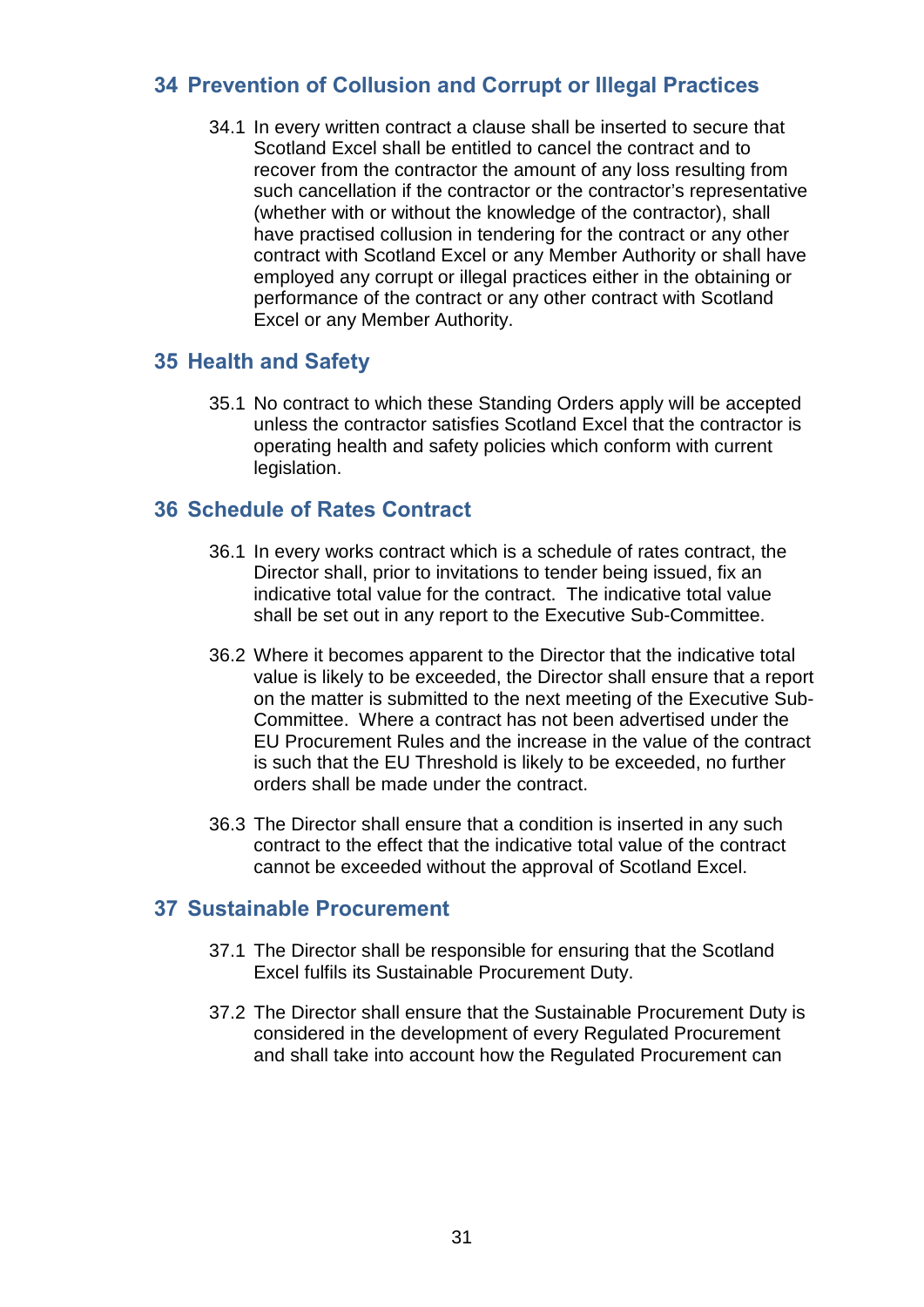# <span id="page-33-0"></span>**34 Prevention of Collusion and Corrupt or Illegal Practices**

34.1 In every written contract a clause shall be inserted to secure that Scotland Excel shall be entitled to cancel the contract and to recover from the contractor the amount of any loss resulting from such cancellation if the contractor or the contractor's representative (whether with or without the knowledge of the contractor), shall have practised collusion in tendering for the contract or any other contract with Scotland Excel or any Member Authority or shall have employed any corrupt or illegal practices either in the obtaining or performance of the contract or any other contract with Scotland Excel or any Member Authority.

# <span id="page-33-1"></span>**35 Health and Safety**

35.1 No contract to which these Standing Orders apply will be accepted unless the contractor satisfies Scotland Excel that the contractor is operating health and safety policies which conform with current legislation.

# <span id="page-33-2"></span>**36 Schedule of Rates Contract**

- 36.1 In every works contract which is a schedule of rates contract, the Director shall, prior to invitations to tender being issued, fix an indicative total value for the contract. The indicative total value shall be set out in any report to the Executive Sub-Committee.
- 36.2 Where it becomes apparent to the Director that the indicative total value is likely to be exceeded, the Director shall ensure that a report on the matter is submitted to the next meeting of the Executive Sub-Committee. Where a contract has not been advertised under the EU Procurement Rules and the increase in the value of the contract is such that the EU Threshold is likely to be exceeded, no further orders shall be made under the contract.
- 36.3 The Director shall ensure that a condition is inserted in any such contract to the effect that the indicative total value of the contract cannot be exceeded without the approval of Scotland Excel.

# <span id="page-33-3"></span>**37 Sustainable Procurement**

- 37.1 The Director shall be responsible for ensuring that the Scotland Excel fulfils its Sustainable Procurement Duty.
- 37.2 The Director shall ensure that the Sustainable Procurement Duty is considered in the development of every Regulated Procurement and shall take into account how the Regulated Procurement can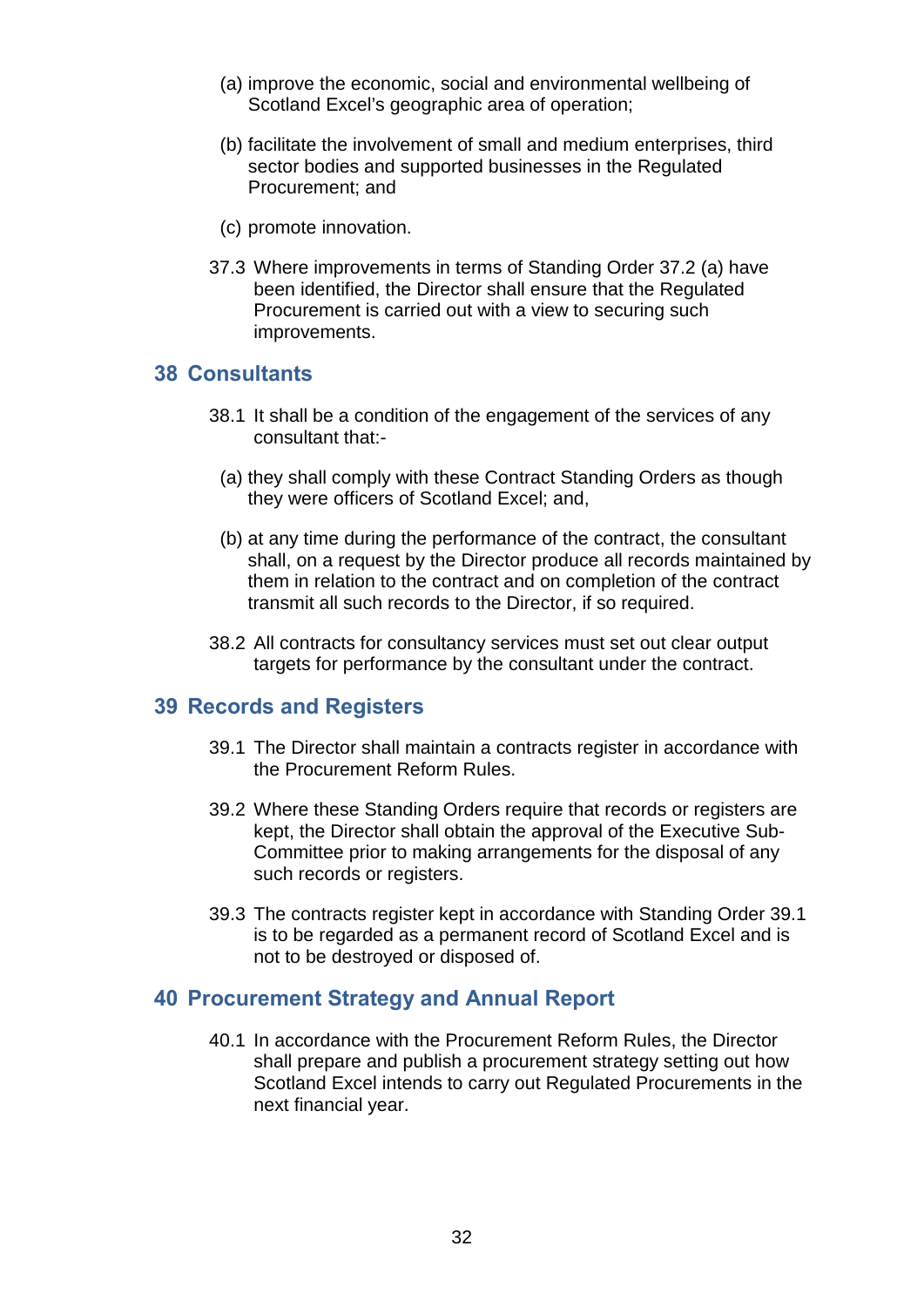- (a) improve the economic, social and environmental wellbeing of Scotland Excel's geographic area of operation;
- (b) facilitate the involvement of small and medium enterprises, third sector bodies and supported businesses in the Regulated Procurement; and
- (c) promote innovation.
- 37.3 Where improvements in terms of Standing Order 37.2 (a) have been identified, the Director shall ensure that the Regulated Procurement is carried out with a view to securing such improvements.

#### <span id="page-34-0"></span>**38 Consultants**

- 38.1 It shall be a condition of the engagement of the services of any consultant that:-
	- (a) they shall comply with these Contract Standing Orders as though they were officers of Scotland Excel; and,
	- (b) at any time during the performance of the contract, the consultant shall, on a request by the Director produce all records maintained by them in relation to the contract and on completion of the contract transmit all such records to the Director, if so required.
- 38.2 All contracts for consultancy services must set out clear output targets for performance by the consultant under the contract.

#### <span id="page-34-1"></span>**39 Records and Registers**

- 39.1 The Director shall maintain a contracts register in accordance with the Procurement Reform Rules.
- 39.2 Where these Standing Orders require that records or registers are kept, the Director shall obtain the approval of the Executive Sub-Committee prior to making arrangements for the disposal of any such records or registers.
- 39.3 The contracts register kept in accordance with Standing Order 39.1 is to be regarded as a permanent record of Scotland Excel and is not to be destroyed or disposed of.

#### <span id="page-34-2"></span>**40 Procurement Strategy and Annual Report**

40.1 In accordance with the Procurement Reform Rules, the Director shall prepare and publish a procurement strategy setting out how Scotland Excel intends to carry out Regulated Procurements in the next financial year.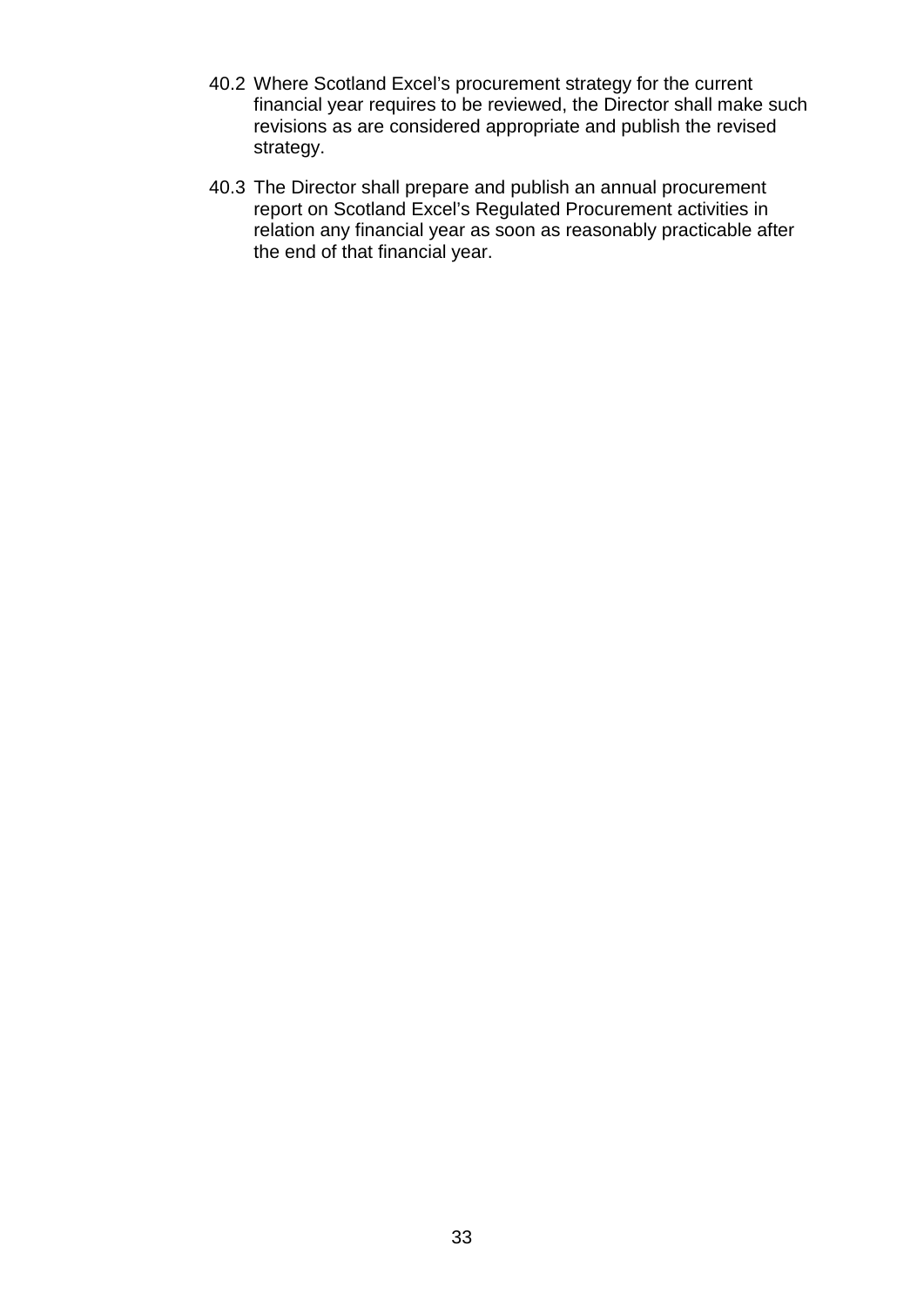- 40.2 Where Scotland Excel's procurement strategy for the current financial year requires to be reviewed, the Director shall make such revisions as are considered appropriate and publish the revised strategy.
- 40.3 The Director shall prepare and publish an annual procurement report on Scotland Excel's Regulated Procurement activities in relation any financial year as soon as reasonably practicable after the end of that financial year.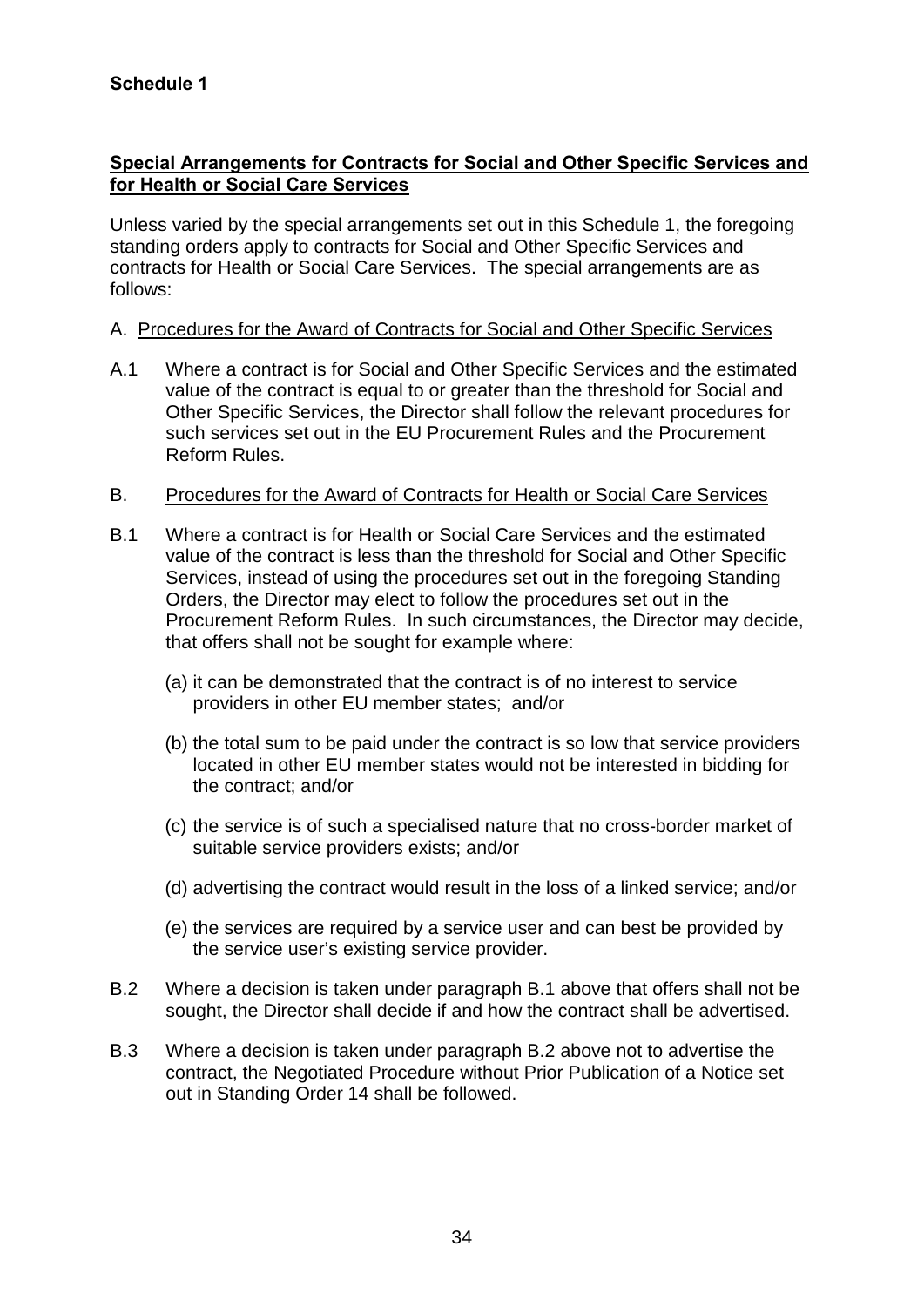#### **Special Arrangements for Contracts for Social and Other Specific Services and for Health or Social Care Services**

Unless varied by the special arrangements set out in this Schedule 1, the foregoing standing orders apply to contracts for Social and Other Specific Services and contracts for Health or Social Care Services. The special arrangements are as follows:

#### A. Procedures for the Award of Contracts for Social and Other Specific Services

A.1 Where a contract is for Social and Other Specific Services and the estimated value of the contract is equal to or greater than the threshold for Social and Other Specific Services, the Director shall follow the relevant procedures for such services set out in the EU Procurement Rules and the Procurement Reform Rules.

#### B. Procedures for the Award of Contracts for Health or Social Care Services

- B.1 Where a contract is for Health or Social Care Services and the estimated value of the contract is less than the threshold for Social and Other Specific Services, instead of using the procedures set out in the foregoing Standing Orders, the Director may elect to follow the procedures set out in the Procurement Reform Rules. In such circumstances, the Director may decide, that offers shall not be sought for example where:
	- (a) it can be demonstrated that the contract is of no interest to service providers in other EU member states; and/or
	- (b) the total sum to be paid under the contract is so low that service providers located in other EU member states would not be interested in bidding for the contract; and/or
	- (c) the service is of such a specialised nature that no cross-border market of suitable service providers exists; and/or
	- (d) advertising the contract would result in the loss of a linked service; and/or
	- (e) the services are required by a service user and can best be provided by the service user's existing service provider.
- B.2 Where a decision is taken under paragraph B.1 above that offers shall not be sought, the Director shall decide if and how the contract shall be advertised.
- B.3 Where a decision is taken under paragraph B.2 above not to advertise the contract, the Negotiated Procedure without Prior Publication of a Notice set out in Standing Order 14 shall be followed.